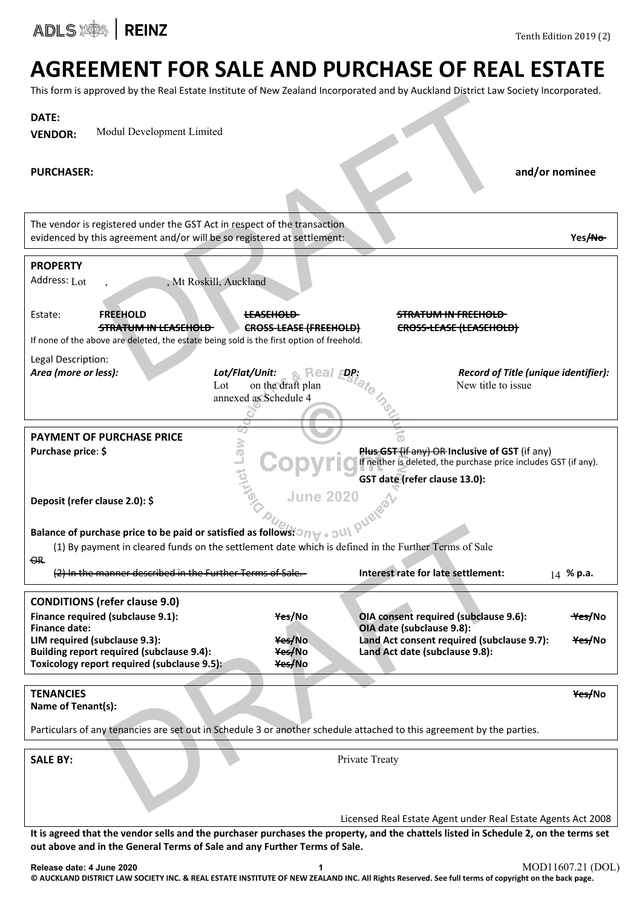

## AGREEMENT FOR SALE AND PURCHASE OF REAL ESTATE

This form is approved by the Real Estate Institute of New Zealand Incorporated and by Auckland District Law Society Incorporated.

|                                                                                                                                                                                                                                                     | This form is approved by the Kear Estate institute or New Zealahu incorporated and by AddMand District Law Society incorporated.     |
|-----------------------------------------------------------------------------------------------------------------------------------------------------------------------------------------------------------------------------------------------------|--------------------------------------------------------------------------------------------------------------------------------------|
| DATE:                                                                                                                                                                                                                                               |                                                                                                                                      |
| Modul Development Limited<br><b>VENDOR:</b>                                                                                                                                                                                                         |                                                                                                                                      |
|                                                                                                                                                                                                                                                     |                                                                                                                                      |
|                                                                                                                                                                                                                                                     |                                                                                                                                      |
| <b>PURCHASER:</b>                                                                                                                                                                                                                                   | and/or nominee                                                                                                                       |
|                                                                                                                                                                                                                                                     |                                                                                                                                      |
|                                                                                                                                                                                                                                                     |                                                                                                                                      |
| The vendor is registered under the GST Act in respect of the transaction                                                                                                                                                                            |                                                                                                                                      |
| evidenced by this agreement and/or will be so registered at settlement:                                                                                                                                                                             | Yes/No-                                                                                                                              |
|                                                                                                                                                                                                                                                     |                                                                                                                                      |
| <b>PROPERTY</b>                                                                                                                                                                                                                                     |                                                                                                                                      |
| Address: Lot<br>, Mt Roskill, Auckland                                                                                                                                                                                                              |                                                                                                                                      |
|                                                                                                                                                                                                                                                     |                                                                                                                                      |
| Estate:<br><b>FREEHOLD</b><br><del>LEASEHOLD</del>                                                                                                                                                                                                  | <del>STRATUM IN FREEHOLD -</del>                                                                                                     |
| <b>STRATUM IN LEASEHOLD</b>                                                                                                                                                                                                                         | <b>CROSS-LEASE (FREEHOLD)</b><br>CROSS-LEASE (LEASEHOLD)                                                                             |
| If none of the above are deleted, the estate being sold is the first option of freehold.                                                                                                                                                            |                                                                                                                                      |
| Legal Description:                                                                                                                                                                                                                                  |                                                                                                                                      |
| Area (more or less):<br>Lot/Flat/Unit:                                                                                                                                                                                                              | Record of Title (unique identifier):<br><sub>&amp;</sub> Real                                                                        |
| on the draft plan<br>Lot                                                                                                                                                                                                                            | New title to issue                                                                                                                   |
| annexed as Schedule 4                                                                                                                                                                                                                               |                                                                                                                                      |
|                                                                                                                                                                                                                                                     |                                                                                                                                      |
|                                                                                                                                                                                                                                                     |                                                                                                                                      |
| <b>PAYMENT OF PURCHASE PRICE</b><br>Law<br>Purchase price: \$                                                                                                                                                                                       | Plus GST (if any) OR Inclusive of GST (if any)                                                                                       |
|                                                                                                                                                                                                                                                     | If neither is deleted, the purchase price includes GST (if any).                                                                     |
| ion                                                                                                                                                                                                                                                 | GST date (refer clause 13.0):                                                                                                        |
|                                                                                                                                                                                                                                                     | <b>June 2020</b>                                                                                                                     |
| Deposit (refer clause 2.0): \$                                                                                                                                                                                                                      |                                                                                                                                      |
| <b>Balance of purchase price to be paid or satisfied as follows: <math>\partial_{U_{\mathcal{O}_1}}</math> and <math>\partial_{U_{\mathcal{O}}}</math> (1) By payment in cleared funds on the sattlement of the same of <math>\mathbb{R}</math></b> |                                                                                                                                      |
|                                                                                                                                                                                                                                                     |                                                                                                                                      |
| (1) By payment in cleared funds on the settlement date which is defined in the Further Terms of Sale                                                                                                                                                |                                                                                                                                      |
| <del>OR</del>                                                                                                                                                                                                                                       |                                                                                                                                      |
| (2) In the manner described in the Further Terms of Sale                                                                                                                                                                                            | Interest rate for late settlement:<br>14 % p.a.                                                                                      |
| <b>CONDITIONS (refer clause 9.0)</b>                                                                                                                                                                                                                |                                                                                                                                      |
| Finance required (subclause 9.1):<br>Yes/No                                                                                                                                                                                                         | OIA consent required (subclause 9.6):<br><del>Yes/</del> No                                                                          |
| Finance date:                                                                                                                                                                                                                                       | OIA date (subclause 9.8):                                                                                                            |
| LIM required (subclause 9.3):<br>Yes/No                                                                                                                                                                                                             | Land Act consent required (subclause 9.7):<br><del>Yes/</del> No                                                                     |
| <b>Building report required (subclause 9.4):</b><br>Yes/No                                                                                                                                                                                          | Land Act date (subclause 9.8):                                                                                                       |
| Toxicology report required (subclause 9.5):<br>Yes/No                                                                                                                                                                                               |                                                                                                                                      |
|                                                                                                                                                                                                                                                     |                                                                                                                                      |
| <b>TENANCIES</b><br>Name of Tenant(s):                                                                                                                                                                                                              | Yes/No                                                                                                                               |
|                                                                                                                                                                                                                                                     |                                                                                                                                      |
| Particulars of any tenancies are set out in Schedule 3 or another schedule attached to this agreement by the parties.                                                                                                                               |                                                                                                                                      |
|                                                                                                                                                                                                                                                     |                                                                                                                                      |
| <b>SALE BY:</b>                                                                                                                                                                                                                                     | Private Treaty                                                                                                                       |
|                                                                                                                                                                                                                                                     |                                                                                                                                      |
|                                                                                                                                                                                                                                                     |                                                                                                                                      |
|                                                                                                                                                                                                                                                     |                                                                                                                                      |
|                                                                                                                                                                                                                                                     | Licensed Real Estate Agent under Real Estate Agents Act 2008                                                                         |
|                                                                                                                                                                                                                                                     | It is agreed that the vendor sells and the purchaser purchases the property, and the chattels listed in Schedule 2, on the terms set |
| out above and in the General Terms of Sale and any Further Terms of Sale.                                                                                                                                                                           |                                                                                                                                      |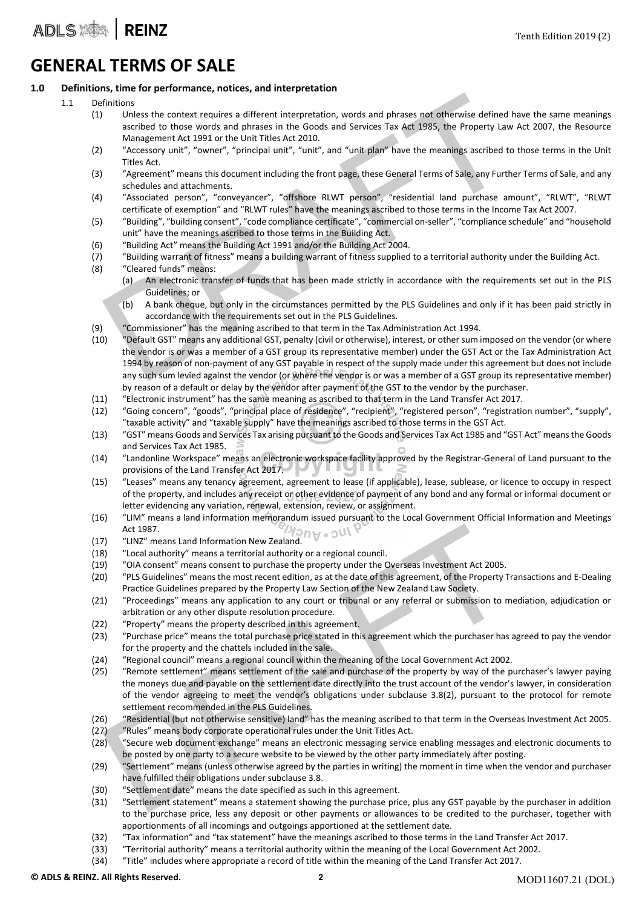### GENERAL TERMS OF SALE

#### 1.0 Definitions, time for performance, notices, and interpretation

- 1.1 Definitions
	- (1) Unless the context requires a different interpretation, words and phrases not otherwise defined have the same meanings ascribed to those words and phrases in the Goods and Services Tax Act 1985, the Property Law Act 2007, the Resource Management Act 1991 or the Unit Titles Act 2010.
	- (2) "Accessory unit", "owner", "principal unit", "unit", and "unit plan" have the meanings ascribed to those terms in the Unit Titles Act.
	- (3) "Agreement" means this document including the front page, these General Terms of Sale, any Further Terms of Sale, and any schedules and attachments.
	- (4) "Associated person", "conveyancer", "offshore RLWT person", "residential land purchase amount", "RLWT", "RLWT certificate of exemption" and "RLWT rules" have the meanings ascribed to those terms in the Income Tax Act 2007.
	- (5) "Building", "building consent", "code compliance certificate", "commercial on‐seller", "compliance schedule" and "household unit" have the meanings ascribed to those terms in the Building Act.
	- (6) "Building Act" means the Building Act 1991 and/or the Building Act 2004.
	- (7) "Building warrant of fitness" means a building warrant of fitness supplied to a territorial authority under the Building Act.
	- (8) "Cleared funds" means:
		- (a) An electronic transfer of funds that has been made strictly in accordance with the requirements set out in the PLS Guidelines; or
			- (b) A bank cheque, but only in the circumstances permitted by the PLS Guidelines and only if it has been paid strictly in accordance with the requirements set out in the PLS Guidelines.
	- (9) "Commissioner" has the meaning ascribed to that term in the Tax Administration Act 1994.
- This term of the search of the Magnathemia and phrases in the PLS Guidelines and the search of the search of the Society and Phrases in the Goods and Services Tax Act 1985, the Property Law A Management Act 1991 or the Uni (10) "Default GST" means any additional GST, penalty (civil or otherwise), interest, or other sum imposed on the vendor (or where the vendor is or was a member of a GST group its representative member) under the GST Act or the Tax Administration Act 1994 by reason of non‐payment of any GST payable in respect of the supply made under this agreement but does not include any such sum levied against the vendor (or where the vendor is or was a member of a GST group its representative member) by reason of a default or delay by the vendor after payment of the GST to the vendor by the purchaser.
	- (11) "Electronic instrument" has the same meaning as ascribed to that term in the Land Transfer Act 2017.
	- (12) "Going concern", "goods", "principal place of residence", "recipient", "registered person", "registration number", "supply", "taxable activity" and "taxable supply" have the meanings ascribed to those terms in the GST Act.
	- (13) "GST" means Goods and Services Tax arising pursuant to the Goods and Services Tax Act 1985 and "GST Act" meansthe Goods and Services Tax Act 1985.
	- (14) "Landonline Workspace" means an electronic workspace facility approved by the Registrar‐General of Land pursuant to the provisions of the Land Transfer Act 2017.
	- (15) "Leases" means any tenancy agreement, agreement to lease (if applicable), lease, sublease, or licence to occupy in respect of the property, and includes any receipt or other evidence of payment of any bond and any formal or informal document or letter evidencing any variation, renewal, extension, review, or assignment.
	- (16) "LIM" means a land information memorandum issued pursuant to the Local Government Official Information and Meetings Act 1987.
	- (17) "LINZ" means Land Information New Zealand.
	- (18) "Local authority" means a territorial authority or a regional council.
	- (19) "OIA consent" means consent to purchase the property under the Overseas Investment Act 2005.
	- (20) "PLS Guidelines" means the most recent edition, as at the date of this agreement, of the Property Transactions and E‐Dealing Practice Guidelines prepared by the Property Law Section of the New Zealand Law Society.
	- (21) "Proceedings" means any application to any court or tribunal or any referral or submission to mediation, adjudication or arbitration or any other dispute resolution procedure.
	- (22) "Property" means the property described in this agreement.
	- (23) "Purchase price" means the total purchase price stated in this agreement which the purchaser has agreed to pay the vendor for the property and the chattels included in the sale.
	- (24) "Regional council" means a regional council within the meaning of the Local Government Act 2002.
	- Act 1987.<br>
	"Cocal authority" means tand Information New Zealand.<br>
	"Local authority" means a territorial authority or a regional council.<br>
	"Cocal authority" means consent to purchase the property under the Overseas Investme (25) "Remote settlement" means settlement of the sale and purchase of the property by way of the purchaser's lawyer paying the moneys due and payable on the settlement date directly into the trust account of the vendor's lawyer, in consideration of the vendor agreeing to meet the vendor's obligations under subclause 3.8(2), pursuant to the protocol for remote settlement recommended in the PLS Guidelines.
	- (26) "Residential (but not otherwise sensitive) land" has the meaning ascribed to that term in the Overseas Investment Act 2005.
	- (27) "Rules" means body corporate operational rules under the Unit Titles Act.
	- (28) "Secure web document exchange" means an electronic messaging service enabling messages and electronic documents to be posted by one party to a secure website to be viewed by the other party immediately after posting.
	- (29) "Settlement" means (unless otherwise agreed by the parties in writing) the moment in time when the vendor and purchaser have fulfilled their obligations under subclause 3.8.
	- (30) "Settlement date" means the date specified as such in this agreement.
	- (31) "Settlement statement" means a statement showing the purchase price, plus any GST payable by the purchaser in addition to the purchase price, less any deposit or other payments or allowances to be credited to the purchaser, together with apportionments of all incomings and outgoings apportioned at the settlement date.
	- (32) "Tax information" and "tax statement" have the meanings ascribed to those terms in the Land Transfer Act 2017.
	- (33) "Territorial authority" means a territorial authority within the meaning of the Local Government Act 2002.
	- (34) "Title" includes where appropriate a record of title within the meaning of the Land Transfer Act 2017.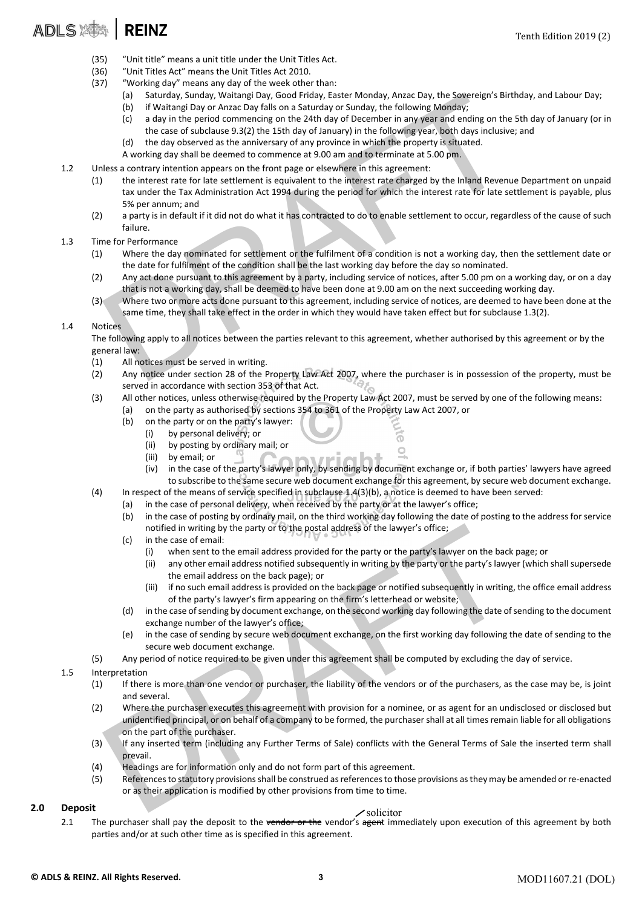- (35) "Unit title" means a unit title under the Unit Titles Act.
- (36) "Unit Titles Act" means the Unit Titles Act 2010.
- (37) "Working day" means any day of the week other than:
	- (a) Saturday, Sunday, Waitangi Day, Good Friday, Easter Monday, Anzac Day, the Sovereign's Birthday, and Labour Day;
	- (b) if Waitangi Day or Anzac Day falls on a Saturday or Sunday, the following Monday;
	- (c) a day in the period commencing on the 24th day of December in any year and ending on the 5th day of January (or in the case of subclause 9.3(2) the 15th day of January) in the following year, both days inclusive; and
	- (d) the day observed as the anniversary of any province in which the property is situated.

A working day shall be deemed to commence at 9.00 am and to terminate at 5.00 pm.

- 1.2 Unless a contrary intention appears on the front page or elsewhere in this agreement:
- (a) Saturday, Sunday, Waitangi Day, Good Friday, Easter Monday, Anzac Day, the Sovereign's Birthd<br>
(b) if Waitangi Day of Anzac Day fills on a Saturday or Sunday, the following Monday;<br>
(c) a day in the period commencing o (1) the interest rate for late settlement is equivalent to the interest rate charged by the Inland Revenue Department on unpaid tax under the Tax Administration Act 1994 during the period for which the interest rate for late settlement is payable, plus 5% per annum; and
	- (2) a party is in default if it did not do what it has contracted to do to enable settlement to occur, regardless of the cause of such failure.

#### 1.3 Time for Performance

- (1) Where the day nominated for settlement or the fulfilment of a condition is not a working day, then the settlement date or the date for fulfilment of the condition shall be the last working day before the day so nominated.
- (2) Any act done pursuant to this agreement by a party, including service of notices, after 5.00 pm on a working day, or on a day that is not a working day, shall be deemed to have been done at 9.00 am on the next succeeding working day.
- (3) Where two or more acts done pursuant to this agreement, including service of notices, are deemed to have been done at the same time, they shall take effect in the order in which they would have taken effect but for subclause 1.3(2).

#### 1.4 Notices

The following apply to all notices between the parties relevant to this agreement, whether authorised by this agreement or by the general law:

- (1) All notices must be served in writing.
- (2) Any notice under section 28 of the Property Law Act 2007, where the purchaser is in possession of the property, must be served in accordance with section 353 of that Act.
- (3) All other notices, unless otherwise required by the Property Law Act 2007, must be served by one of the following means: (a) on the party as authorised by sections 354 to 361 of the Property Law Act 2007, or
	- (b) on the party or on the party's lawyer:
		- (i) by personal delivery; or
		- (ii) by posting by ordinary mail; or
		- (iii) by email; or
		- (iv) in the case of the party's lawyer only, by sending by document exchange or, if both parties' lawyers have agreed to subscribe to the same secure web document exchange for this agreement, by secure web document exchange.

6  $\circ$ 

- (4) In respect of the means of service specified in subclause 1.4(3)(b), a notice is deemed to have been served:
	- (a) in the case of personal delivery, when received by the party or at the lawyer's office;
		- (b) in the case of posting by ordinary mail, on the third working day following the date of posting to the address for service notified in writing by the party or to the postal address of the lawyer's office;
		- (c) in the case of email:
			- (i) when sent to the email address provided for the party or the party's lawyer on the back page; or
			- (ii) any other email address notified subsequently in writing by the party or the party's lawyer (which shall supersede the email address on the back page); or
			- (iii) if no such email address is provided on the back page or notified subsequently in writing, the office email address of the party's lawyer's firm appearing on the firm's letterhead or website;
		- (d) in the case ofsending by document exchange, on the second working day following the date ofsending to the document exchange number of the lawyer's office;
		- (e) in the case of sending by secure web document exchange, on the first working day following the date of sending to the secure web document exchange.
- (5) Any period of notice required to be given under this agreement shall be computed by excluding the day of service.

#### 1.5 Interpretation

- (1) If there is more than one vendor or purchaser, the liability of the vendors or of the purchasers, as the case may be, is joint and several.
- in the case of email:<br>
(c) in the case of mail:<br>
(c) in the case of email address provided for the party's lawyer's office;<br>
(i) when sent in the email address provided for the party's lawyer on the back party<br>
(ii) any ot (2) Where the purchaser executes this agreement with provision for a nominee, or as agent for an undisclosed or disclosed but unidentified principal, or on behalf of a company to be formed, the purchasershall at all timesremain liable for all obligations on the part of the purchaser.
- (3) If any inserted term (including any Further Terms of Sale) conflicts with the General Terms of Sale the inserted term shall prevail.
- (4) Headings are for information only and do not form part of this agreement.
- (5) Referencesto statutory provisionsshall be construed asreferencesto those provisions asthey may be amended orre‐enacted or as their application is modified by other provisions from time to time.

#### 2.0 Deposit

#### solicitor

2.1 The purchaser shall pay the deposit to the vendor or the vendor's agent immediately upon execution of this agreement by both parties and/or at such other time as is specified in this agreement.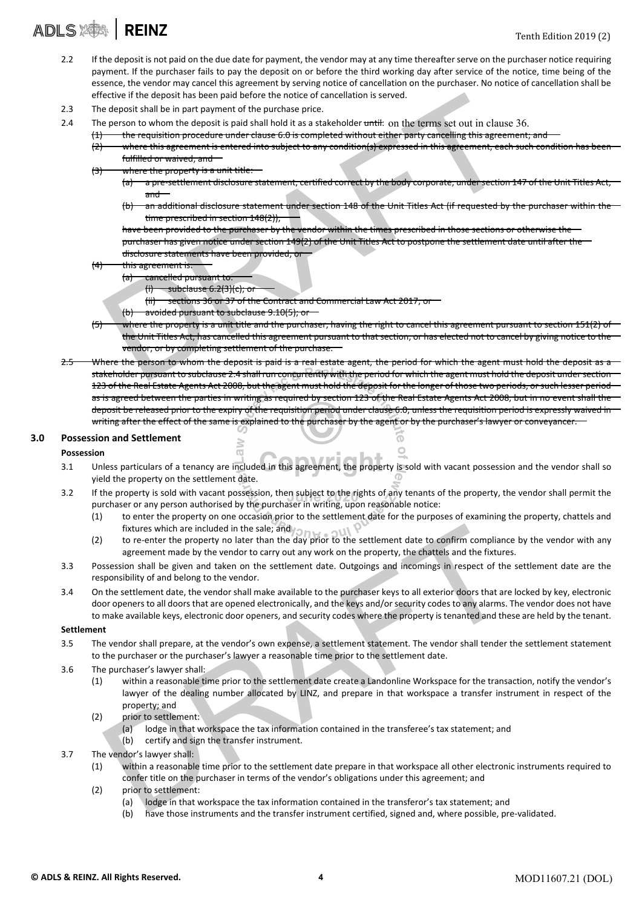## ADLS X<sup>1</sup> | REINZ

- 2.2 If the deposit is not paid on the due date for payment, the vendor may at any time thereafter serve on the purchaser notice requiring payment. If the purchaser fails to pay the deposit on or before the third working day after service of the notice, time being of the essence, the vendor may cancel this agreement by serving notice of cancellation on the purchaser. No notice of cancellation shall be effective if the deposit has been paid before the notice of cancellation is served.
- 2.3 The deposit shall be in part payment of the purchase price.
- 2.4 The person to whom the deposit is paid shall hold it as a stakeholder until: on the terms set out in clause 36.
	- the requisition procedure under clause 6.0 is completed without either party cancelling this agreement; and
		- (2) where this agreement is entered into subject to any condition(s) expressed in this agreement, each such condition has bee fulfilled or waived; and
		- (3) where the property is a unit title:
			- a pre-settlement disclosure statement, certified correct by the body corporate, under section 147 of the Unit Titles Act and
			- (b) an additional disclosure statement under section 148 of the Unit Titles Act (if requested by the purchaser within the time prescribed in section 148(2)),
			- have been provided to the purchaser by the vendor within the times prescribed in those sections or otherwise the purchaser has given notice under section 149(2) of the Unit Titles Act to postpone the settlement date until after the
			- disclosure statements have been provided; o
		- thi<del>s agreement is:</del>
			- (a) cancelled pursuant to:
				- $(i)$  subclause 6.2(3)(c), or
				- (ii) sections 36 or 37 of the Contract and Commercial Law Act 2017; or
			- (b) avoided pursuant to subclause 9.10(5); or

 $\sqrt{2}$ 

- ective if the deposit has been paid before the notice of cancellation is served.<br>
e person to whom the deposit is paid and lhold it as a stakeholder <del>until</del>. On the terms set out in clause 3<br>
e person to whom the deposit i  $(5)$  where the property is a unit title and the purchaser, having the right to cancel this agreement pursuant to section 151(2) of the Unit Titles Act, has cancelled this agreement pursuant to that section, or has elected not to cancel by giving notice to the vendor, or by completing settlement of the purchase.
- Where the person to whom the deposit is paid is a real estate agent, the period for which the agent must hold the deposit as a stakeholder pursuant to subclause 2.4 shall run concurrently with the period for which the agent must hold the deposit undersection 123 of the Real Estate Agents Act 2008, but the agent must hold the deposit for the longer of those two periods, or such lesser period as is agreed between the parties in writing as required by section 123 of the Real Estate Agents Act 2008, but in no event shall the deposit be released prior to the expiry of the requisition period under clause 6.0, unless the requisition period is expressly waived in writing after the effect of the same is explained to the purchaser by the agent or by the purchaser's lawyer or conveyancer.

#### 3.0 Possession and Settlement

#### **Possession**

- 3.1 Unless particulars of a tenancy are included in this agreement, the property is sold with vacant possession and the vendor shall so yield the property on the settlement date.
- 3.2 If the property is sold with vacant possession, then subject to the rights of any tenants of the property, the vendor shall permit the purchaser or any person authorised by the purchaser in writing, upon reasonable notice:
	- (1) to enter the property on one occasion prior to the settlement date for the purposes of examining the property, chattels and fixtures which are included in the sale; and

ັດ  $\circ$ 

- (2) to re-enter the property no later than the day prior to the settlement date to confirm compliance by the vendor with any agreement made by the vendor to carry out any work on the property, the chattels and the fixtures.
- 3.3 Possession shall be given and taken on the settlement date. Outgoings and incomings in respect of the settlement date are the responsibility of and belong to the vendor.
- fixtures which are included in the sale; and<br>
to re-enter the property no later than the day prior to the settlement date to confirm compliance b<br>
agreement made by the vendor to carry out any work on the property, the cha 3.4 On the settlement date, the vendor shall make available to the purchaser keys to all exterior doors that are locked by key, electronic door openers to all doors that are opened electronically, and the keys and/or security codes to any alarms. The vendor does not have to make available keys, electronic door openers, and security codes where the property is tenanted and these are held by the tenant.

#### Settlement

- 3.5 The vendor shall prepare, at the vendor's own expense, a settlement statement. The vendor shall tender the settlement statement to the purchaser or the purchaser's lawyer a reasonable time prior to the settlement date.
- 3.6 The purchaser's lawyer shall:
	- (1) within a reasonable time prior to the settlement date create a Landonline Workspace for the transaction, notify the vendor's lawyer of the dealing number allocated by LINZ, and prepare in that workspace a transfer instrument in respect of the property; and
	- (2) prior to settlement:
		- (a) lodge in that workspace the tax information contained in the transferee's tax statement; and
		- (b) certify and sign the transfer instrument.
- 3.7 The vendor's lawyer shall:
	- (1) within a reasonable time prior to the settlement date prepare in that workspace all other electronic instruments required to confer title on the purchaser in terms of the vendor's obligations under this agreement; and
	- (2) prior to settlement:
		- (a) lodge in that workspace the tax information contained in the transferor's tax statement; and
		- (b) have those instruments and the transfer instrument certified, signed and, where possible, pre‐validated.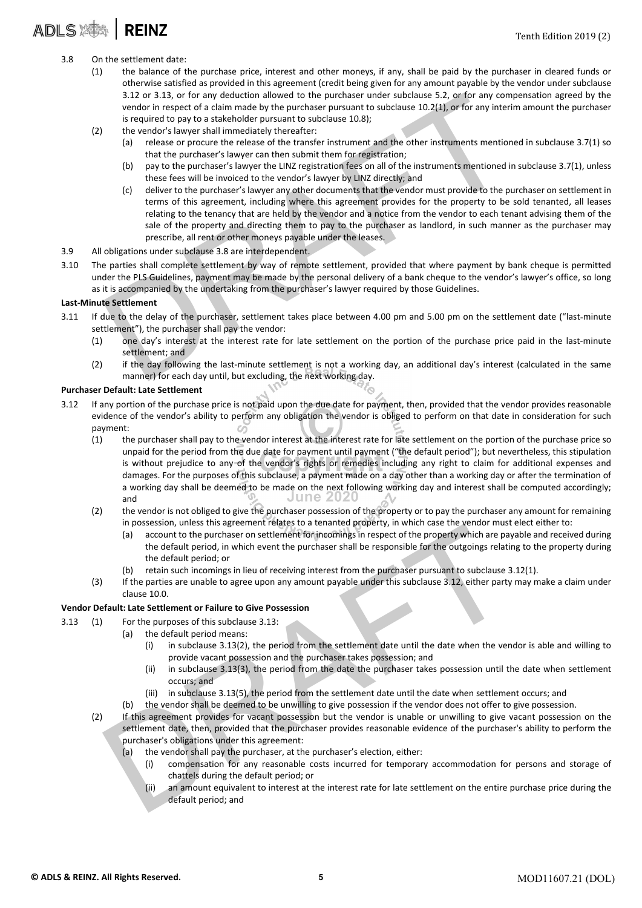### ADLS **243 | REINZ**

- 3.8 On the settlement date:
	- (1) the balance of the purchase price, interest and other moneys, if any, shall be paid by the purchaser in cleared funds or otherwise satisfied as provided in this agreement (credit being given for any amount payable by the vendor under subclause 3.12 or 3.13, or for any deduction allowed to the purchaser under subclause 5.2, or for any compensation agreed by the vendor in respect of a claim made by the purchaser pursuant to subclause 10.2(1), or for any interim amount the purchaser is required to pay to a stakeholder pursuant to subclause 10.8);
	- (2) the vendor's lawyer shall immediately thereafter:
		- (a) release or procure the release of the transfer instrument and the other instruments mentioned in subclause 3.7(1) so that the purchaser's lawyer can then submit them for registration;
		- (b) pay to the purchaser's lawyer the LINZ registration fees on all of the instruments mentioned in subclause 3.7(1), unless these fees will be invoiced to the vendor's lawyer by LINZ directly; and
- 3.12 or 3.13, or for any deduction allowed to the purchaser under subclause 5.2, or for any comperator in respect of a claim made by the purchaser pursuant to subclause 10.2(1), or for any interim is equired to pay to a s (c) deliver to the purchaser's lawyer any other documents that the vendor must provide to the purchaser on settlement in terms of this agreement, including where this agreement provides for the property to be sold tenanted, all leases relating to the tenancy that are held by the vendor and a notice from the vendor to each tenant advising them of the sale of the property and directing them to pay to the purchaser as landlord, in such manner as the purchaser may prescribe, all rent or other moneys payable under the leases.
- 3.9 All obligations under subclause 3.8 are interdependent.
- 3.10 The parties shall complete settlement by way of remote settlement, provided that where payment by bank cheque is permitted under the PLS Guidelines, payment may be made by the personal delivery of a bank cheque to the vendor's lawyer's office, so long as it is accompanied by the undertaking from the purchaser's lawyer required by those Guidelines.

#### Last‐Minute Settlement

- 3.11 If due to the delay of the purchaser, settlement takes place between 4.00 pm and 5.00 pm on the settlement date ("last-minute settlement"), the purchaser shall pay the vendor:
	- (1) one day's interest at the interest rate for late settlement on the portion of the purchase price paid in the last‐minute settlement; and
	- (2) if the day following the last-minute settlement is not a working day, an additional day's interest (calculated in the same manner) for each day until, but excluding, the next working day.

#### Purchaser Default: Late Settlement

- 3.12 If any portion of the purchase price is not paid upon the due date for payment, then, provided that the vendor provides reasonable evidence of the vendor's ability to perform any obligation the vendor is obliged to perform on that date in consideration for such payment:
	- (1) the purchaser shall pay to the vendor interest at the interest rate for late settlement on the portion of the purchase price so unpaid for the period from the due date for payment until payment ("the default period"); but nevertheless, this stipulation is without prejudice to any of the vendor's rights or remedies including any right to claim for additional expenses and damages. For the purposes of this subclause, a payment made on a day other than a working day or after the termination of a working day shall be deemed to be made on the next following working day and interest shall be computed accordingly; and **June 2020**
	- (2) the vendor is not obliged to give the purchaser possession of the property or to pay the purchaser any amount for remaining in possession, unless this agreement relates to a tenanted property, in which case the vendor must elect either to:
		- (a) account to the purchaser on settlement for incomings in respect of the property which are payable and received during the default period, in which event the purchaser shall be responsible for the outgoings relating to the property during the default period; or
		- (b) retain such incomings in lieu of receiving interest from the purchaser pursuant to subclause 3.12(1).
	- (3) If the parties are unable to agree upon any amount payable under this subclause 3.12, either party may make a claim under clause 10.0.

#### Vendor Default: Late Settlement or Failure to Give Possession

- 
- 3.13 (1) For the purposes of this subclause 3.13: (a) the default period means:
	- (i) in subclause 3.13(2), the period from the settlement date until the date when the vendor is able and willing to provide vacant possession and the purchaser takes possession; and
	- (ii) in subclause 3.13(3), the period from the date the purchaser takes possession until the date when settlement occurs; and
	- (iii) in subclause 3.13(5), the period from the settlement date until the date when settlement occurs; and
	- (b) the vendor shall be deemed to be unwilling to give possession if the vendor does not offer to give possession.
- in possession, unitso this agreement required in terative principle in the perturbative of the property which are payable and the default period, in which event the purchaser shall be responsible for the orugion gradient p (2) If this agreement provides for vacant possession but the vendor is unable or unwilling to give vacant possession on the settlement date, then, provided that the purchaser provides reasonable evidence of the purchaser's ability to perform the purchaser's obligations under this agreement:
	- (a) the vendor shall pay the purchaser, at the purchaser's election, either:
		- (i) compensation for any reasonable costs incurred for temporary accommodation for persons and storage of chattels during the default period; or
		- (ii) an amount equivalent to interest at the interest rate for late settlement on the entire purchase price during the default period; and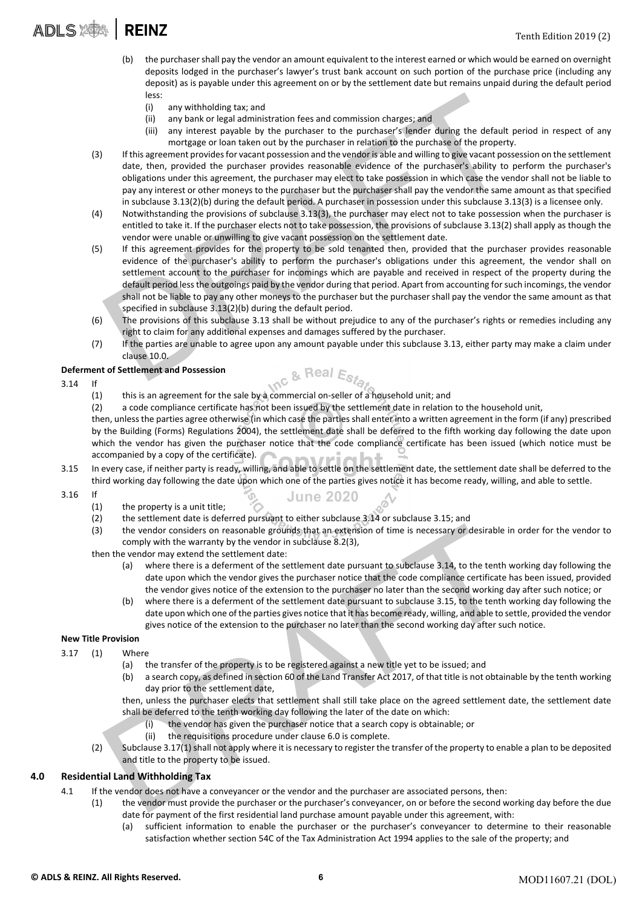- (b) the purchasershall pay the vendor an amount equivalent to the interest earned or which would be earned on overnight deposits lodged in the purchaser's lawyer's trust bank account on such portion of the purchase price (including any deposit) as is payable under this agreement on or by the settlement date but remains unpaid during the default period less:
	- (i) any withholding tax; and
	- (ii) any bank or legal administration fees and commission charges; and
	- (iii) any interest payable by the purchaser to the purchaser's lender during the default period in respect of any mortgage or loan taken out by the purchaser in relation to the purchase of the property.
- (3) If this agreement providesfor vacant possession and the vendoris able and willing to give vacant possession on the settlement date, then, provided the purchaser provides reasonable evidence of the purchaser's ability to perform the purchaser's obligations under this agreement, the purchaser may elect to take possession in which case the vendor shall not be liable to pay any interest or other moneys to the purchaser but the purchaser shall pay the vendor the same amount as that specified in subclause 3.13(2)(b) during the default period. A purchaser in possession under this subclause 3.13(3) is a licensee only.
- (4) Notwithstanding the provisions of subclause 3.13(3), the purchaser may elect not to take possession when the purchaser is entitled to take it. If the purchaser elects not to take possession, the provisions of subclause 3.13(2) shall apply as though the vendor were unable or unwilling to give vacant possession on the settlement date.
- les:<br>
(i) any withholding tax; and<br>
(ii) any bank or legal administration fees and commission charges; and<br>
(iii) any bank or legal administration fees and commission charges; and<br>
(iii) any bank or legal administration f (5) If this agreement provides for the property to be sold tenanted then, provided that the purchaser provides reasonable evidence of the purchaser's ability to perform the purchaser's obligations under this agreement, the vendor shall on settlement account to the purchaser for incomings which are payable and received in respect of the property during the default period lessthe outgoings paid by the vendor during that period. Apart from accounting forsuch incomings, the vendor shall not be liable to pay any other moneys to the purchaser but the purchaser shall pay the vendor the same amount as that specified in subclause 3.13(2)(b) during the default period.
- (6) The provisions of this subclause 3.13 shall be without prejudice to any of the purchaser's rights or remedies including any right to claim for any additional expenses and damages suffered by the purchaser.
- (7) If the parties are unable to agree upon any amount payable under this subclause 3.13, either party may make a claim under clause 10.0.

#### Deferment of Settlement and Possession

- 3.14 If
	- (1) this is an agreement for the sale by a commercial on‐seller of a household unit; and
	- (2) a code compliance certificate has not been issued by the settlement date in relation to the household unit,

then, unlessthe parties agree otherwise (in which case the parties shall enter into a written agreement in the form (if any) prescribed by the Building (Forms) Regulations 2004), the settlement date shall be deferred to the fifth working day following the date upon which the vendor has given the purchaser notice that the code compliance certificate has been issued (which notice must be accompanied by a copy of the certificate).

3.15 In every case, if neither party is ready, willing, and able to settle on the settlement date, the settlement date shall be deferred to the third working day following the date upon which one of the parties gives notice it has become ready, willing, and able to settle.

**June 2020** 

- 3.16 If
	- (1) the property is a unit title;
	- (2) the settlement date is deferred pursuant to either subclause 3.14 or subclause 3.15; and
	- (3) the vendor considers on reasonable grounds that an extension of time is necessary or desirable in order for the vendor to comply with the warranty by the vendor in subclause 8.2(3),

then the vendor may extend the settlement date:

- (a) where there is a deferment of the settlement date pursuant to subclause 3.14, to the tenth working day following the date upon which the vendor gives the purchaser notice that the code compliance certificate has been issued, provided the vendor gives notice of the extension to the purchaser no later than the second working day after such notice; or
- the vendor considers on reasonable grounds that an extension of time is necessary or desirable in o<br>comply with the warenty by the vendor in subclause 8.2(3),<br>ener the vendor may extend the settlement date:<br>(a) where there (b) where there is a deferment of the settlement date pursuant to subclause 3.15, to the tenth working day following the date upon which one of the parties gives notice that it has become ready, willing, and able to settle, provided the vendor gives notice of the extension to the purchaser no later than the second working day after such notice.

#### New Title Provision

- 3.17 (1) Where
	- (a) the transfer of the property is to be registered against a new title yet to be issued; and
	- (b) a search copy, as defined in section 60 of the Land Transfer Act 2017, of that title is not obtainable by the tenth working day prior to the settlement date,

then, unless the purchaser elects that settlement shall still take place on the agreed settlement date, the settlement date shall be deferred to the tenth working day following the later of the date on which:

- (i) the vendor has given the purchaser notice that a search copy is obtainable; or
- (ii) the requisitions procedure under clause 6.0 is complete.
- (2) Subclause 3.17(1) shall not apply where it is necessary to register the transfer of the property to enable a plan to be deposited and title to the property to be issued.

#### 4.0 Residential Land Withholding Tax

- 4.1 If the vendor does not have a conveyancer or the vendor and the purchaser are associated persons, then:
	- (1) the vendor must provide the purchaser or the purchaser's conveyancer, on or before the second working day before the due date for payment of the first residential land purchase amount payable under this agreement, with:
		- (a) sufficient information to enable the purchaser or the purchaser's conveyancer to determine to their reasonable satisfaction whether section 54C of the Tax Administration Act 1994 applies to the sale of the property; and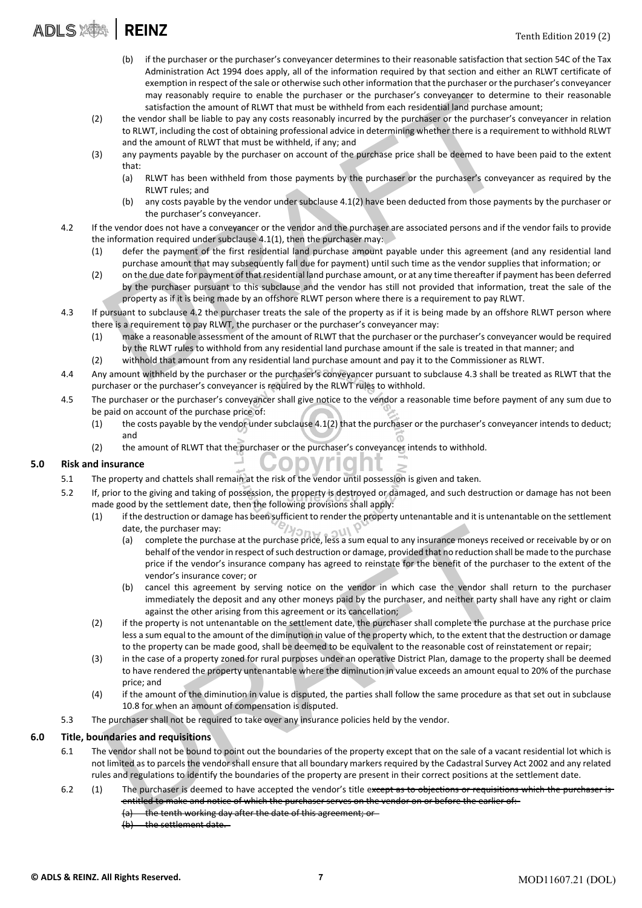### **ADLS SAM REINZ**

- (b) if the purchaser or the purchaser's conveyancer determines to their reasonable satisfaction that section 54C of the Tax Administration Act 1994 does apply, all of the information required by that section and either an RLWT certificate of exemption in respect of the sale or otherwise such other information that the purchaser or the purchaser's conveyancer may reasonably require to enable the purchaser or the purchaser's conveyancer to determine to their reasonable satisfaction the amount of RLWT that must be withheld from each residential land purchase amount;
- (2) the vendor shall be liable to pay any costs reasonably incurred by the purchaser or the purchaser's conveyancer in relation to RLWT, including the cost of obtaining professional advice in determining whether there is a requirement to withhold RLWT and the amount of RLWT that must be withheld, if any; and
- (3) any payments payable by the purchaser on account of the purchase price shall be deemed to have been paid to the extent that:
	- (a) RLWT has been withheld from those payments by the purchaser or the purchaser's conveyancer as required by the RLWT rules; and
	- (b) any costs payable by the vendor under subclause 4.1(2) have been deducted from those payments by the purchaser or the purchaser's conveyancer.
- 4.2 If the vendor does not have a conveyancer or the vendor and the purchaser are associated persons and if the vendor fails to provide the information required under subclause 4.1(1), then the purchaser may:
	- (1) defer the payment of the first residential land purchase amount payable under this agreement (and any residential land purchase amount that may subsequently fall due for payment) until such time as the vendor supplies that information; or
- may reasonably require to enable the purchaser or the purchaser's conveyancer to determined<br>statisfaction the amount of RLWT that must be with<br>the drom each residential and purchase amound to RIM and the simulation<br>and the (2) on the due date for payment of that residential land purchase amount, or at any time thereafter if payment has been deferred by the purchaser pursuant to this subclause and the vendor has still not provided that information, treat the sale of the property as if it is being made by an offshore RLWT person where there is a requirement to pay RLWT.
- 4.3 If pursuant to subclause 4.2 the purchaser treats the sale of the property as if it is being made by an offshore RLWT person where there is a requirement to pay RLWT, the purchaser or the purchaser's conveyancer may:
	- (1) make a reasonable assessment of the amount of RLWT that the purchaser or the purchaser's conveyancer would be required by the RLWT rules to withhold from any residential land purchase amount if the sale is treated in that manner; and
	- (2) withhold that amount from any residential land purchase amount and pay it to the Commissioner as RLWT.
- 4.4 Any amount withheld by the purchaser or the purchaser's conveyancer pursuant to subclause 4.3 shall be treated as RLWT that the purchaser or the purchaser's conveyancer is required by the RLWT rules to withhold.
- 4.5 The purchaser or the purchaser's conveyancer shall give notice to the vendor a reasonable time before payment of any sum due to be paid on account of the purchase price of:
	- (1) the costs payable by the vendor under subclause 4.1(2) that the purchaser or the purchaser's conveyancer intends to deduct; and
	- (2) the amount of RLWT that the purchaser or the purchaser's conveyancer intends to withhold.

#### 5.0 Risk and insurance

- 5.1 The property and chattels shall remain at the risk of the vendor until possession is given and taken.
- 5.2 If, prior to the giving and taking of possession, the property is destroyed or damaged, and such destruction or damage has not been made good by the settlement date, then the following provisions shall apply:
	- (1) if the destruction or damage has been sufficient to render the property untenantable and it is untenantable on the settlement date, the purchaser may:
		- date, the purchaser may:<br>
		(a) complete the purchase at the purchase price, less as sume equal to any insurance moneys received<br>
		behalf of the vendor's insurance company has agreed to reinstate for the benefit of the purcha (a) complete the purchase at the purchase price, less a sum equal to any insurance moneys received or receivable by or on behalf of the vendor in respect of such destruction or damage, provided that no reduction shall be made to the purchase price if the vendor's insurance company has agreed to reinstate for the benefit of the purchaser to the extent of the vendor's insurance cover; or
			- (b) cancel this agreement by serving notice on the vendor in which case the vendor shall return to the purchaser immediately the deposit and any other moneys paid by the purchaser, and neither party shall have any right or claim against the other arising from this agreement or its cancellation;
	- (2) if the property is not untenantable on the settlement date, the purchaser shall complete the purchase at the purchase price less a sum equal to the amount of the diminution in value of the property which, to the extent that the destruction or damage to the property can be made good, shall be deemed to be equivalent to the reasonable cost of reinstatement or repair;
	- (3) in the case of a property zoned for rural purposes under an operative District Plan, damage to the property shall be deemed to have rendered the property untenantable where the diminution in value exceeds an amount equal to 20% of the purchase price; and
	- (4) if the amount of the diminution in value is disputed, the parties shall follow the same procedure as that set out in subclause 10.8 for when an amount of compensation is disputed.
- 5.3 The purchaser shall not be required to take over any insurance policies held by the vendor.

#### 6.0 Title, boundaries and requisitions

- 6.1 The vendor shall not be bound to point out the boundaries of the property except that on the sale of a vacant residential lot which is not limited as to parcels the vendor shall ensure that all boundary markers required by the Cadastral Survey Act 2002 and any related rules and regulations to identify the boundaries of the property are present in their correct positions at the settlement date.
- 6.2 (1) The purchaser is deemed to have accepted the vendor's title except as to objections or requisitions which the purchaser is entitled to make and notice of which the purchaser serves on the vendor on or before the earlier of:
	- (a) the tenth working day after the date of this agreement; or
	- (b) the settlement date.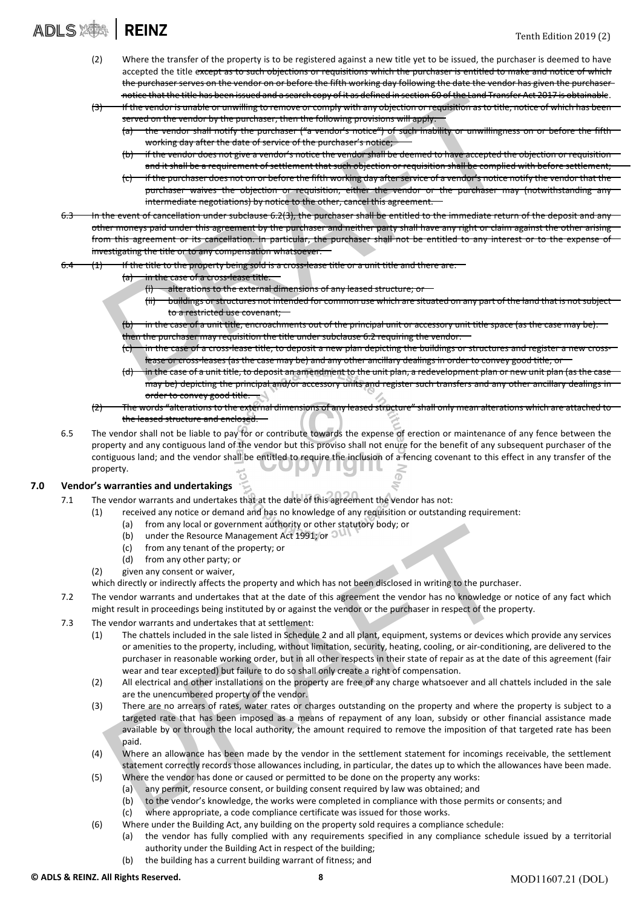### **ADLS SES REINZ**

- (2) Where the transfer of the property is to be registered against a new title yet to be issued, the purchaser is deemed to have accepted the title except as to such objections or requisitions which the purchaser is entitled to make and notice of which the purchaser serves on the vendor on or before the fifth working day following the date the vendor has given the purchaser notice that the title has been issued and a search copy of it as defined in section 60 of the Land Transfer Act 2017 is obtainable.
- $(3)$  If the vendor is unable or unwilling to remove or comply with any objection or requisition as to title, notice of ved on the vendor by the purchaser, then the following provisions will apply
	- vendor shall notify the purchaser ("a vendor's notice") of such inability or unwillingness on or before the fifth working day after the date of service of the purchaser's notice;
	- if the vendor does not give a vendor's notice the vendor shall be deemed to have accepted the objection or requisition and it shall be a requirement of settlement that such objection or requisition shall be complied with before settlement
	- before the fifth working day after service of a vendor's notice notif purchaser waives the objection or requisition, either the vendor  $\,$ mediate negotiations) by notice to the other, cancel this agreement.  $\,$
- notice that the title has been issued and a search copy of it as defined in section 60 of the team of the vertical of the vertical server to comply with any objection or requisition as to title, no server of the purchaser, under subclause 6.2(3), the purchaser shall be entitled to the immediate return of the deposition other moneys paid under this agreement by the purchaser and neither party shall have any right or claim against the other arising from this agreement or its cancellation. In particular, the purchaser shall not be entitled to any interest or to the investigating the title or to any compensation whatsoever.
	- If the title to the property being sold is a cross-lease title or a unit title and there are
		- (a) in the case of a cross-lease title:
			- alterations to the external dimensions of any leased structure
			- buildings or structures not intended for common use which are situated on any part of the land that is to a restricted use covenant;
			- $(b)$  in the case of a unit title, encroachments out of the principal unit or accessory unit title space (as the case may
			- then the purchaser may requisition the title under subclause 6.2 requiring the vendor:
			- $(c)$  in the case of a cross-lease title, to deposit a new plan depicting the buildings or structures and register a new cross lease or cross-leases (as the case may be) and any other ancillary dealings in order to convey good title; or
		- in the case of a unit title, to deposit an amendment to the unit plan, a redevelopment plan or new unit plan (as the cas may be) depicting the principal and/or accessory units and register such transfers and any other ancillary dealings in order to convey good title.
		- The words "alterations to the external dimensions of any leased structure" shall only mean alterations which are attached to the leased structure and enclosed.
- 6.5 The vendor shall not be liable to pay for or contribute towards the expense of erection or maintenance of any fence between the property and any contiguous land of the vendor but this proviso shall not enure for the benefit of any subsequent purchaser of the contiguous land; and the vendor shall be entitled to require the inclusion of a fencing covenant to this effect in any transfer of the property. 4 I I L

#### 7.0 Vendor's warranties and undertakings

- 7.1 The vendor warrants and undertakes that at the date of this agreement the vendor has not:
	- (1) received any notice or demand and has no knowledge of any requisition or outstanding requirement:
		- (a) from any local or government authority or other statutory body; or
		- (b) under the Resource Management Act 1991; or  $\circ$
		- (c) from any tenant of the property; or
		- (d) from any other party; or
	- (2) given any consent or waiver,
	- which directly or indirectly affects the property and which has not been disclosed in writing to the purchaser.
- 7.2 The vendor warrants and undertakes that at the date of this agreement the vendor has no knowledge or notice of any fact which might result in proceedings being instituted by or against the vendor or the purchaser in respect of the property.
- 7.3 The vendor warrants and undertakes that at settlement:
	- (1) The chattels included in the sale listed in Schedule 2 and all plant, equipment, systems or devices which provide any services or amenities to the property, including, without limitation, security, heating, cooling, or air‐conditioning, are delivered to the purchaser in reasonable working order, but in all other respects in their state of repair as at the date of this agreement (fair wear and tear excepted) but failure to do so shall only create a right of compensation.
	- (2) All electrical and other installations on the property are free of any charge whatsoever and all chattels included in the sale are the unencumbered property of the vendor.
- (a) from any local or government authory of orther statutory boay; or<br>
(b) under the Resource Management Act 1991; or OM<br>
(c) from any tenant of the property; or<br>
(d) from any tenant of the property; or<br>
given any consent (3) There are no arrears of rates, water rates or charges outstanding on the property and where the property is subject to a targeted rate that has been imposed as a means of repayment of any loan, subsidy or other financial assistance made available by or through the local authority, the amount required to remove the imposition of that targeted rate has been paid.
	- (4) Where an allowance has been made by the vendor in the settlement statement for incomings receivable, the settlement statement correctly records those allowances including, in particular, the dates up to which the allowances have been made.
	- (5) Where the vendor has done or caused or permitted to be done on the property any works:
		- (a) any permit, resource consent, or building consent required by law was obtained; and
			- (b) to the vendor's knowledge, the works were completed in compliance with those permits or consents; and
		- (c) where appropriate, a code compliance certificate was issued for those works.
	- (6) Where under the Building Act, any building on the property sold requires a compliance schedule:
		- (a) the vendor has fully complied with any requirements specified in any compliance schedule issued by a territorial authority under the Building Act in respect of the building;
		- (b) the building has a current building warrant of fitness; and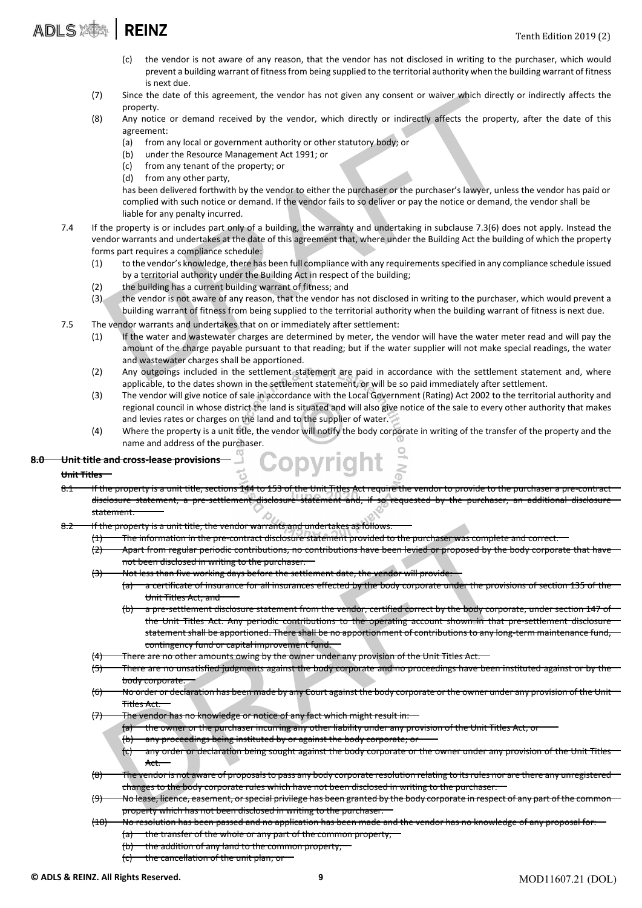### ADLS : **REINZ**

- (c) the vendor is not aware of any reason, that the vendor has not disclosed in writing to the purchaser, which would prevent a building warrant of fitness from being supplied to the territorial authority when the building warrant of fitness is next due.
- (7) Since the date of this agreement, the vendor has not given any consent or waiver which directly or indirectly affects the property.
- (8) Any notice or demand received by the vendor, which directly or indirectly affects the property, after the date of this agreement:
	- (a) from any local or government authority or other statutory body; or
	- (b) under the Resource Management Act 1991; or
	- (c) from any tenant of the property; or
	- (d) from any other party,

has been delivered forthwith by the vendor to either the purchaser or the purchaser's lawyer, unless the vendor has paid or complied with such notice or demand. If the vendor fails to so deliver or pay the notice or demand, the vendor shall be liable for any penalty incurred.

- Since the date of this agreement, the vendor has not given any consent or waiver which directly of<br>property,<br>agreement:<br>Any notice or demand received by the vendor, which directly or indirectly affects the property,<br>agreem 7.4 If the property is or includes part only of a building, the warranty and undertaking in subclause 7.3(6) does not apply. Instead the vendor warrants and undertakes at the date of this agreement that, where under the Building Act the building of which the property forms part requires a compliance schedule:
	- (1) to the vendor's knowledge, there has been full compliance with any requirementsspecified in any compliance schedule issued by a territorial authority under the Building Act in respect of the building;
	- (2) the building has a current building warrant of fitness; and
	- (3) the vendor is not aware of any reason, that the vendor has not disclosed in writing to the purchaser, which would prevent a building warrant of fitness from being supplied to the territorial authority when the building warrant of fitness is next due.
- 7.5 The vendor warrants and undertakes that on or immediately after settlement:
	- (1) If the water and wastewater charges are determined by meter, the vendor will have the water meter read and will pay the amount of the charge payable pursuant to that reading; but if the water supplier will not make special readings, the water and wastewater charges shall be apportioned.
	- (2) Any outgoings included in the settlement statement are paid in accordance with the settlement statement and, where applicable, to the dates shown in the settlement statement, or will be so paid immediately after settlement.
	- (3) The vendor will give notice of sale in accordance with the Local Government (Rating) Act 2002 to the territorial authority and regional council in whose district the land is situated and will also give notice of the sale to every other authority that makes and levies rates or charges on the land and to the supplier of water.
	- (4) Where the property is a unit title, the vendor will notify the body corporate in writing of the transfer of the property and the name and address of the purchaser.

#### 8.0 Unit title and cross-lease provisions

#### Unit Titles

- 8.1 If the property is a unit title, sections 144 to 153 of the Unit Titles Act require the vendor to provide to the purchaser a pre‐contract disclosure statement, a pre‐settlement disclosure statement and, if so requested by the purchaser, an additional disclosure statement.
- 8.2 If the property is a unit title, the vendor warrants and undertakes as follows:
	- The information in the pre‐contract disclosure statement provided to the purchaser was complete and correct.
	- $(2)$  Apart from regular periodic contributions, no contributions have been levied or proposed by the body corporate that have not been disclosed in writing to the purchaser.
	- $(3)$  Not less than five working days before the settlement date, the vendor will provide:
		- (a) a certificate of insurance for all insurances effected by the body corporate under the provisions of section 135 of the Unit Titles Act; and
- the property is a unit title; the vendor warrants and undertakes as follows.<br>
The information in the pre-contract dissibutions in example the three increases that the provider that the provider the body computer and the pr (b) a pre‐settlement disclosure statement from the vendor, certified correct by the body corporate, under section 147 of the Unit Titles Act. Any periodic contributions to the operating account shown in that pre-settlement disclosure statement shall be apportioned. There shall be no apportionment of contributions to any long-term maintenance fund, contingency fund or capital improvement fund.
	- There are no other amounts owing by the owner under any provision of the Unit Titles Act.
	- (5) There are no unsatisfied judgments against the body corporate and no proceedings have been instituted against or by the body corporate.
	- $(6)$  No order or declaration has been made by any Court against the body corporate or the owner under any provision of the Unit Titles Act.
	- (7) The vendor has no knowledge or notice of any fact which might result in:
		- (a) the owner or the purchaser incurring any other liability under any provision of the Unit Titles Act;
		- (b) any proceedings being instituted by or against the body corporate; or
		- (c) any order or declaration being sought against the body corporate or the owner under any provision of the Unit Titles Act.
	- The vendor is not aware of proposals to pass any body corporate resolution relating to its rules nor are there any unregistered changes to the body corporate rules which have not been disclosed in writing to the purchaser.
	- No lease, licence, easement, or special privilege has been granted by the body corporate in respect of any part of the common property which has not been disclosed in writing to the purchaser.
	- $(10)$  No resolution has been passed and no application has been made and the vendor has no knowledge of any proposal (a) the transfer of the whole or any part of the common property;
		- $(b)$  the addition of any land to the common property;
			- (c) the cancellation of the unit plan, or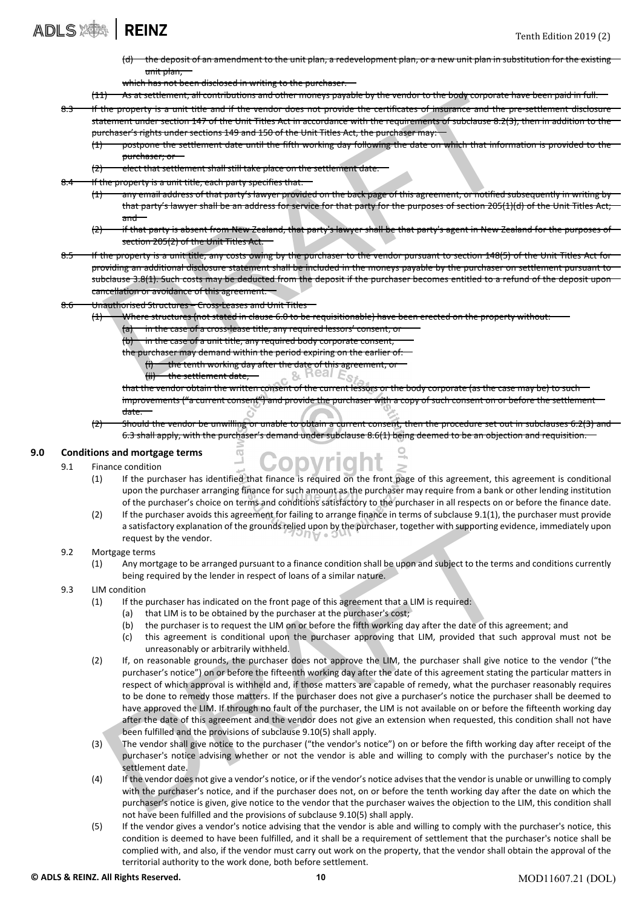the deposit of an amendment to the unit plan, a redevelopment plan, or a new unit plan in substitution for the existing unit plan,

which has not been disclosed in writing to the purchase

(11) As at settlement, all contributions and other moneys payable by the vendor to the body corporate have been paid in full.

- 8.3 If the property is a unit title and if the vendor does not provide the certificates of insurance and the pre-settlement disclosure statement under section 147 of the Unit Titles Act in accordance with the requirements of subclause 8.2(3), then in addition to the purchaser's rights under sections 149 and 150 of the Unit Titles Act, the purchaser may:
	- $(1)$  postpone the settlement date until the fifth working day following the date on which that information is provided to the to the to the to the to the to the to the to the to the to the to the to the to the to the to purchaser; or
	- (2) elect that settlement shall still take place on the settlement date
- 8.4 If the property is a unit title, each party specifies that:
	- (1) any email address of that party's lawyer provided on the back page of this agreement, or notified subsequently in writing by that party's lawyer shall be an address for service for that party for the purposes of section 205(1)(d) of the Unit Titles Act; and
	- $(2)$  if that party is absent from New Zealand, that party's lawyer shall be that party's agent in New Zealand for the purposes of section 205(2) of the Unit Titles Act.
- 1) As at settlement, all contributions and other moneys payable by the vendor to the body corporate has<br>the property is a unit title and if the vendor does not provide the certificates of instance and the pre-<br>trichment un 8.5 If the property is a unit title, any costs owing by the purchaser to the vendor pursuant to section 148(5) of the Unit Titles Act for providing an additional disclosure statement shall be included in the moneys payable by the purchaser on settlement pursuant to subclause 3.8(1). Such costs may be deducted from the deposit if the purchaser becomes entitled to a refund of the deposit cancellation or avoidance of this agreement.
- 8.6 Unauthorised Structures Cross‐Leases and Unit Titles
	- $(1)$  Where structures (not stated in clause 6.0 to be requisitionable) have been erected on the property without:
		- (a) in the case of a cross-lease title, any required lessors' consent; or
		- $(b)$  in the case of a unit title, any required body corporate consent
		- the purchaser may demand within the period expiring on the earlier of
			- the tenth working day after the date of this agreement;
			- <del>settlement date</del>

that the vendor obtain the written consent of the current lessors or the body corporate (as the case may be) to such improvements ("a current consent") and provide the purchaser with a copy of such consent on or before the settlement date.

- Should the vendor be unwilling or unable to obtain a current consent, then the procedure set out in subclauses 6.2(3) and 6.3 shall apply, with the purchaser's demand under subclause 8.6(1) being deemed to be an objection and requisition.
- 9.0 Conditions and mortgage terms

#### 9.1 Finance condition

- (1) If the purchaser has identified that finance is required on the front page of this agreement, this agreement is conditional upon the purchaser arranging finance for such amount as the purchaser may require from a bank or other lending institution of the purchaser's choice on terms and conditions satisfactory to the purchaser in all respects on or before the finance date.
- (2) If the purchaser avoids this agreement for failing to arrange finance in terms of subclause 9.1(1), the purchaser must provide a satisfactory explanation of the grounds relied upon by the purchaser, together with supporting evidence, immediately upon request by the vendor.

#### 9.2 Mortgage terms

(1) Any mortgage to be arranged pursuant to a finance condition shall be upon and subject to the terms and conditions currently being required by the lender in respect of loans of a similar nature.

#### 9.3 LIM condition

- (1) If the purchaser has indicated on the front page of this agreement that a LIM is required:
	- (a) that LIM is to be obtained by the purchaser at the purchaser's cost;
	- (b) the purchaser is to request the LIM on or before the fifth working day after the date of this agreement; and
	- (c) this agreement is conditional upon the purchaser approving that LIM, provided that such approval must not be unreasonably or arbitrarily withheld.
- a satisfactory explanation of the grounds rejied upon by the purchaser, together with supporting evidently the vendor.<br>
The vendor.<br>
Any mortgage to be arranged pursuant to a finance condition shall be upon and subject to (2) If, on reasonable grounds, the purchaser does not approve the LIM, the purchaser shall give notice to the vendor ("the purchaser's notice") on or before the fifteenth working day after the date of this agreement stating the particular matters in respect of which approval is withheld and, if those matters are capable of remedy, what the purchaser reasonably requires to be done to remedy those matters. If the purchaser does not give a purchaser's notice the purchaser shall be deemed to have approved the LIM. If through no fault of the purchaser, the LIM is not available on or before the fifteenth working day after the date of this agreement and the vendor does not give an extension when requested, this condition shall not have been fulfilled and the provisions of subclause 9.10(5) shall apply.
- (3) The vendor shall give notice to the purchaser ("the vendor's notice") on or before the fifth working day after receipt of the purchaser's notice advising whether or not the vendor is able and willing to comply with the purchaser's notice by the settlement date.
- (4) If the vendor does not give a vendor's notice, or if the vendor's notice advisesthat the vendor is unable or unwilling to comply with the purchaser's notice, and if the purchaser does not, on or before the tenth working day after the date on which the purchaser's notice is given, give notice to the vendor that the purchaser waives the objection to the LIM, this condition shall not have been fulfilled and the provisions of subclause 9.10(5) shall apply.
- (5) If the vendor gives a vendor's notice advising that the vendor is able and willing to comply with the purchaser's notice, this condition is deemed to have been fulfilled, and it shall be a requirement of settlement that the purchaser's notice shall be complied with, and also, if the vendor must carry out work on the property, that the vendor shall obtain the approval of the territorial authority to the work done, both before settlement.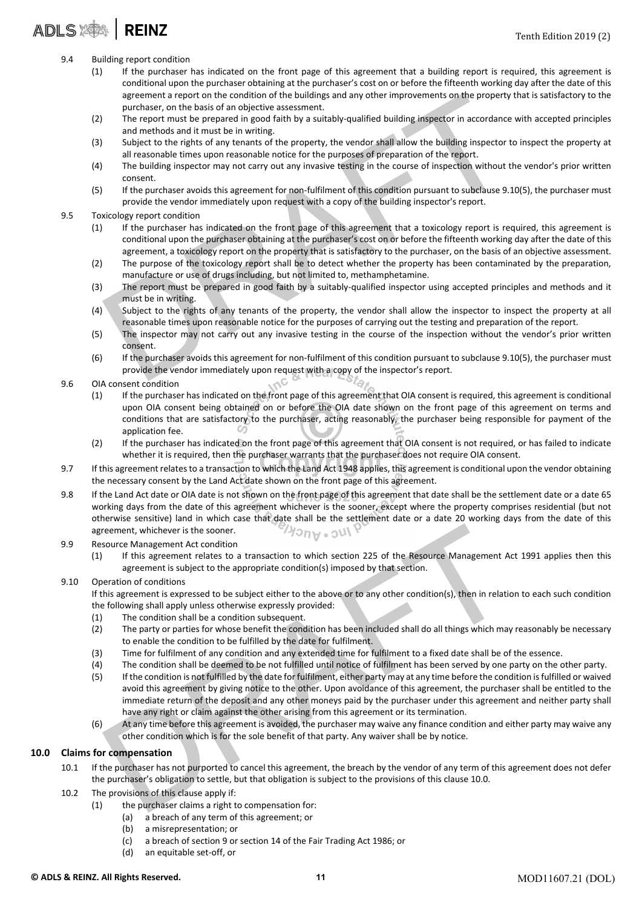### ADLS **243 | REINZ**

- 9.4 Building report condition
	- (1) If the purchaser has indicated on the front page of this agreement that a building report is required, this agreement is conditional upon the purchaser obtaining at the purchaser's cost on or before the fifteenth working day after the date of this agreement a report on the condition of the buildings and any other improvements on the property that is satisfactory to the purchaser, on the basis of an objective assessment.
	- (2) The report must be prepared in good faith by a suitably‐qualified building inspector in accordance with accepted principles and methods and it must be in writing.
	- (3) Subject to the rights of any tenants of the property, the vendor shall allow the building inspector to inspect the property at all reasonable times upon reasonable notice for the purposes of preparation of the report.
	- (4) The building inspector may not carry out any invasive testing in the course of inspection without the vendor's prior written consent.
	- (5) If the purchaser avoids this agreement for non‐fulfilment of this condition pursuant to subclause 9.10(5), the purchaser must provide the vendor immediately upon request with a copy of the building inspector's report.
- 9.5 Toxicology report condition
- agreement a report on the condition of the buildings and any other improvements on the property the purchaser, on the basis of an objective assessment.<br>The report must be prepared in good raith by a suitably-qualified buil (1) If the purchaser has indicated on the front page of this agreement that a toxicology report is required, this agreement is conditional upon the purchaser obtaining at the purchaser's cost on or before the fifteenth working day after the date of this agreement, a toxicology report on the property that is satisfactory to the purchaser, on the basis of an objective assessment.
	- (2) The purpose of the toxicology report shall be to detect whether the property has been contaminated by the preparation, manufacture or use of drugs including, but not limited to, methamphetamine.
	- (3) The report must be prepared in good faith by a suitably‐qualified inspector using accepted principles and methods and it must be in writing.
	- (4) Subject to the rights of any tenants of the property, the vendor shall allow the inspector to inspect the property at all reasonable times upon reasonable notice for the purposes of carrying out the testing and preparation of the report.
	- (5) The inspector may not carry out any invasive testing in the course of the inspection without the vendor's prior written consent.
	- (6) If the purchaser avoids this agreement for non‐fulfilment of this condition pursuant to subclause 9.10(5), the purchaser must provide the vendor immediately upon request with a copy of the inspector's report.
- 9.6 OIA consent condition
	- (1) If the purchaser has indicated on the front page of this agreement that OIA consent is required, this agreement is conditional upon OIA consent being obtained on or before the OIA date shown on the front page of this agreement on terms and conditions that are satisfactory to the purchaser, acting reasonably, the purchaser being responsible for payment of the application fee.
	- (2) If the purchaser has indicated on the front page of this agreement that OIA consent is not required, or has failed to indicate whether it is required, then the purchaser warrants that the purchaser does not require OIA consent.
- 9.7 If this agreement relates to a transaction to which the Land Act 1948 applies, this agreement is conditional upon the vendor obtaining the necessary consent by the Land Act date shown on the front page of this agreement.
- 9.8 If the Land Act date or OIA date is not shown on the front page of this agreement that date shall be the settlement date or a date 65 working days from the date of this agreement whichever is the sooner, except where the property comprises residential (but not otherwise sensitive) land in which case that date shall be the settlement date or a date 20 working days from the date of this agreement, whichever is the sooner.

#### 9.9 Resource Management Act condition

(1) If this agreement relates to a transaction to which section 225 of the Resource Management Act 1991 applies then this agreement is subject to the appropriate condition(s) imposed by that section.

#### 9.10 Operation of conditions

If this agreement is expressed to be subject either to the above or to any other condition(s), then in relation to each such condition the following shall apply unless otherwise expressly provided:

- (1) The condition shall be a condition subsequent.
- (2) The party or parties for whose benefit the condition has been included shall do all things which may reasonably be necessary to enable the condition to be fulfilled by the date for fulfilment.
- (3) Time for fulfilment of any condition and any extended time for fulfilment to a fixed date shall be of the essence.
- (4) The condition shall be deemed to be not fulfilled until notice of fulfilment has been served by one party on the other party.
- reament, whichever is the sooner.<br>
Source Management Act condition<br>
of Hins agreement Act conditions<br>
If this agreement charaction of a ransaction to which section 225 of the Resource Management Act<br>
agreement is subject t (5) If the condition is not fulfilled by the date for fulfilment, either party may at any time before the condition isfulfilled or waived avoid this agreement by giving notice to the other. Upon avoidance of this agreement, the purchaser shall be entitled to the immediate return of the deposit and any other moneys paid by the purchaser under this agreement and neither party shall have any right or claim against the other arising from this agreement or its termination.
- (6) At any time before this agreement is avoided, the purchaser may waive any finance condition and either party may waive any other condition which is for the sole benefit of that party. Any waiver shall be by notice.

#### 10.0 Claims for compensation

- 10.1 If the purchaser has not purported to cancel this agreement, the breach by the vendor of any term of this agreement does not defer the purchaser's obligation to settle, but that obligation is subject to the provisions of this clause 10.0.
- 10.2 The provisions of this clause apply if:
	- (1) the purchaser claims a right to compensation for:
		- (a) a breach of any term of this agreement; or
		- (b) a misrepresentation; or
		- (c) a breach of section 9 or section 14 of the Fair Trading Act 1986; or
		- (d) an equitable set‐off, or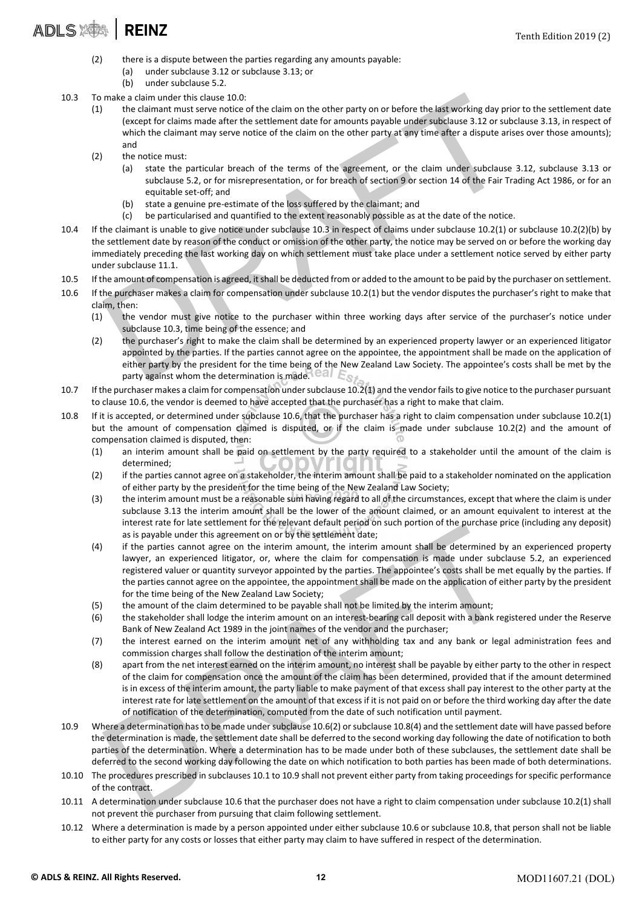## ADLS NOT REINZ Tenth Edition 2019 (2)

- (2) there is a dispute between the parties regarding any amounts payable:
	- (a) under subclause 3.12 or subclause 3.13; or
	- (b) under subclause 5.2.
- 10.3 To make a claim under this clause 10.0:
- make a claim under this clause 10.0:<br>
the claimant mast serve notice of the claim on the other party on or before the last working day prior<br>
texcept for claims serve notice of the claim on the other party at any time aft (1) the claimant must serve notice of the claim on the other party on or before the last working day prior to the settlement date (except for claims made after the settlement date for amounts payable under subclause 3.12 or subclause 3.13, in respect of which the claimant may serve notice of the claim on the other party at any time after a dispute arises over those amounts); and
	- (2) the notice must:
		- (a) state the particular breach of the terms of the agreement, or the claim under subclause 3.12, subclause 3.13 or subclause 5.2, or for misrepresentation, or for breach of section 9 or section 14 of the Fair Trading Act 1986, or for an equitable set‐off; and
		- (b) state a genuine pre‐estimate of the loss suffered by the claimant; and
		- (c) be particularised and quantified to the extent reasonably possible as at the date of the notice.
- 10.4 If the claimant is unable to give notice under subclause 10.3 in respect of claims under subclause 10.2(1) or subclause 10.2(2)(b) by the settlement date by reason of the conduct or omission of the other party, the notice may be served on or before the working day immediately preceding the last working day on which settlement must take place under a settlement notice served by either party under subclause 11.1.
- 10.5 If the amount of compensation is agreed, itshall be deducted from or added to the amount to be paid by the purchaser on settlement.
- 10.6 If the purchaser makes a claim for compensation under subclause 10.2(1) but the vendor disputes the purchaser's right to make that claim, then:
	- (1) the vendor must give notice to the purchaser within three working days after service of the purchaser's notice under subclause 10.3, time being of the essence; and
	- (2) the purchaser's right to make the claim shall be determined by an experienced property lawyer or an experienced litigator appointed by the parties. If the parties cannot agree on the appointee, the appointment shall be made on the application of either party by the president for the time being of the New Zealand Law Society. The appointee's costs shall be met by the party against whom the determination is made. Call  $E_{\mathcal{S}}$
- 10.7 If the purchaser makes a claim for compensation undersubclause 10.2(1) and the vendorfailsto give notice to the purchaser pursuant to clause 10.6, the vendor is deemed to have accepted that the purchaser has a right to make that claim.
- 10.8 If it is accepted, or determined under subclause 10.6, that the purchaser has a right to claim compensation under subclause 10.2(1) but the amount of compensation claimed is disputed, or if the claim is made under subclause 10.2(2) and the amount of  $\omega$ compensation claimed is disputed, then:
	- (1) an interim amount shall be paid on settlement by the party required to a stakeholder until the amount of the claim is determined;
	- (2) if the parties cannot agree on a stakeholder, the interim amount shall be paid to a stakeholder nominated on the application of either party by the president for the time being of the New Zealand Law Society;
	- (3) the interim amount must be a reasonable sum having regard to all of the circumstances, except that where the claim is under subclause 3.13 the interim amount shall be the lower of the amount claimed, or an amount equivalent to interest at the interest rate for late settlement for the relevant default period on such portion of the purchase price (including any deposit) as is payable under this agreement on or by the settlement date;
	- mierest rate to rate securellrint of the rejevant detain the measurement on or by the settlement date;<br>as is payable under this agreement on or by the settlement date;<br>if the particles cannot agree on the interim amount, t (4) if the parties cannot agree on the interim amount, the interim amount shall be determined by an experienced property lawyer, an experienced litigator, or, where the claim for compensation is made under subclause 5.2, an experienced registered valuer or quantity surveyor appointed by the parties. The appointee's costs shall be met equally by the parties. If the parties cannot agree on the appointee, the appointment shall be made on the application of either party by the president for the time being of the New Zealand Law Society;
	- (5) the amount of the claim determined to be payable shall not be limited by the interim amount;
	- (6) the stakeholder shall lodge the interim amount on an interest‐bearing call deposit with a bank registered under the Reserve Bank of New Zealand Act 1989 in the joint names of the vendor and the purchaser;
	- (7) the interest earned on the interim amount net of any withholding tax and any bank or legal administration fees and commission charges shall follow the destination of the interim amount;
	- (8) apart from the net interest earned on the interim amount, no interest shall be payable by either party to the other in respect of the claim for compensation once the amount of the claim has been determined, provided that if the amount determined is in excess of the interim amount, the party liable to make payment of that excess shall pay interest to the other party at the interest rate for late settlement on the amount of that excess if it is not paid on or before the third working day after the date of notification of the determination, computed from the date of such notification until payment.
- 10.9 Where a determination has to be made under subclause 10.6(2) or subclause 10.8(4) and the settlement date will have passed before the determination is made, the settlement date shall be deferred to the second working day following the date of notification to both parties of the determination. Where a determination has to be made under both of these subclauses, the settlement date shall be deferred to the second working day following the date on which notification to both parties has been made of both determinations.
- 10.10 The procedures prescribed in subclauses 10.1 to 10.9 shall not prevent either party from taking proceedings for specific performance of the contract.
- 10.11 A determination under subclause 10.6 that the purchaser does not have a right to claim compensation under subclause 10.2(1) shall not prevent the purchaser from pursuing that claim following settlement.
- 10.12 Where a determination is made by a person appointed under either subclause 10.6 or subclause 10.8, that person shall not be liable to either party for any costs or losses that either party may claim to have suffered in respect of the determination.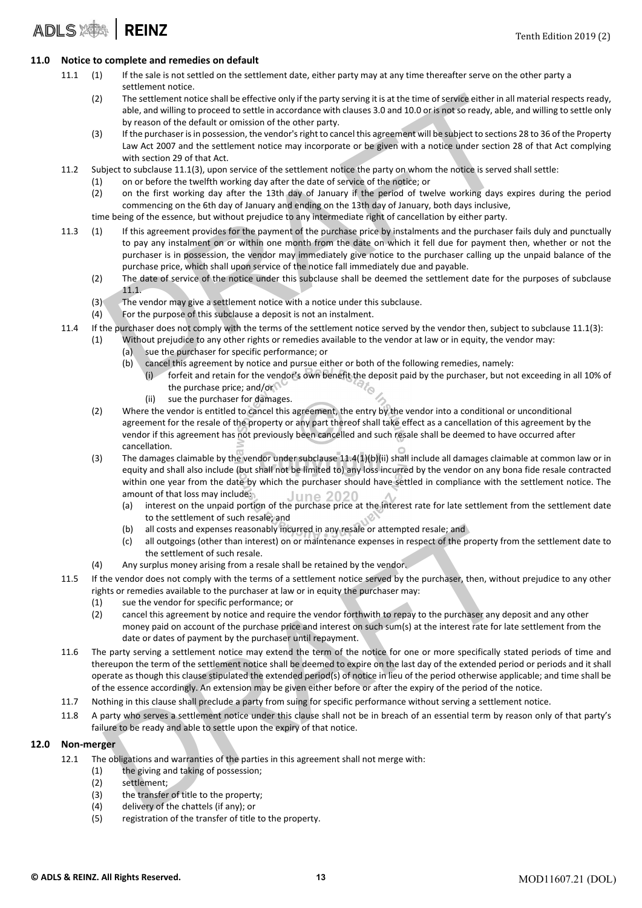### **ADLS SAM REINZ**

#### 11.0 Notice to complete and remedies on default

- 11.1 (1) If the sale is not settled on the settlement date, either party may at any time thereafter serve on the other party a settlement notice.
	- (2) The settlement notice shall be effective only if the party serving it is at the time ofservice either in all material respects ready, able, and willing to proceed to settle in accordance with clauses 3.0 and 10.0 or is not so ready, able, and willing to settle only by reason of the default or omission of the other party.
	- (3) If the purchaser is in possession, the vendor's right to cancel this agreement will be subject to sections 28 to 36 of the Property Law Act 2007 and the settlement notice may incorporate or be given with a notice under section 28 of that Act complying with section 29 of that Act.
- 11.2 Subject to subclause 11.1(3), upon service of the settlement notice the party on whom the notice is served shall settle:
	- (1) on or before the twelfth working day after the date of service of the notice; or
		- (2) on the first working day after the 13th day of January if the period of twelve working days expires during the period commencing on the 6th day of January and ending on the 13th day of January, both days inclusive,

time being of the essence, but without prejudice to any intermediate right of cancellation by either party.

- The settlement notice shall be effective only if the party serving it is at the time of service either in all m<br>able, and will go to proceed to settle in accordance with dauses 3.0 and 10.0 or is not so ready, able, an<br>by 11.3 (1) If this agreement provides for the payment of the purchase price by instalments and the purchaser fails duly and punctually to pay any instalment on or within one month from the date on which it fell due for payment then, whether or not the purchaser is in possession, the vendor may immediately give notice to the purchaser calling up the unpaid balance of the purchase price, which shall upon service of the notice fall immediately due and payable.
	- (2) The date of service of the notice under this subclause shall be deemed the settlement date for the purposes of subclause 11.1.
	- (3) The vendor may give a settlement notice with a notice under this subclause.
	- (4) For the purpose of this subclause a deposit is not an instalment.
- 11.4 If the purchaser does not comply with the terms of the settlement notice served by the vendor then, subject to subclause 11.1(3):
	- (1) Without prejudice to any other rights or remedies available to the vendor at law or in equity, the vendor may:
		- (a) sue the purchaser for specific performance; or
		- (b) cancel this agreement by notice and pursue either or both of the following remedies, namely:
			- (i) forfeit and retain for the vendor's own benefit the deposit paid by the purchaser, but not exceeding in all 10% of the purchase price; and/or
				- (ii) sue the purchaser for damages.
	- (2) Where the vendor is entitled to cancel this agreement, the entry by the vendor into a conditional or unconditional agreement for the resale of the property or any part thereof shall take effect as a cancellation of this agreement by the vendor if this agreement has not previously been cancelled and such resale shall be deemed to have occurred after cancellation.
	- (3) The damages claimable by the vendor under subclause  $11.4(1)(b)(ii)$  shall include all damages claimable at common law or in equity and shall also include (but shall not be limited to) any loss incurred by the vendor on any bona fide resale contracted within one year from the date by which the purchaser should have settled in compliance with the settlement notice. The amount of that loss may include: liin
		- (a) interest on the unpaid portion of the purchase price at the interest rate for late settlement from the settlement date to the settlement of such resale; and
		- (b) all costs and expenses reasonably incurred in any resale or attempted resale; and
		- (c) all outgoings (other than interest) on or maintenance expenses in respect of the property from the settlement date to the settlement of such resale.
	- (4) Any surplus money arising from a resale shall be retained by the vendor.
- 11.5 If the vendor does not comply with the terms of a settlement notice served by the purchaser, then, without prejudice to any other rights or remedies available to the purchaser at law or in equity the purchaser may:
	- (1) sue the vendor for specific performance; or
	- (2) cancel this agreement by notice and require the vendor forthwith to repay to the purchaser any deposit and any other money paid on account of the purchase price and interest on such sum(s) at the interest rate for late settlement from the date or dates of payment by the purchaser until repayment.
- (b) all costs and expenses reasonably incurred in any resaile or attempted resale; and<br>
(c) all outgoings (other than interest) on or maintenance expenses in respect of the property from<br>
the settlement of such resale.<br>
A 11.6 The party serving a settlement notice may extend the term of the notice for one or more specifically stated periods of time and thereupon the term of the settlement notice shall be deemed to expire on the last day of the extended period or periods and it shall operate as though this clause stipulated the extended period(s) of notice in lieu of the period otherwise applicable; and time shall be of the essence accordingly. An extension may be given either before or after the expiry of the period of the notice.
- 11.7 Nothing in this clause shall preclude a party from suing for specific performance without serving a settlement notice.
- 11.8 A party who serves a settlement notice under this clause shall not be in breach of an essential term by reason only of that party's failure to be ready and able to settle upon the expiry of that notice.

#### 12.0 Non‐merger

- 12.1 The obligations and warranties of the parties in this agreement shall not merge with:
	- (1) the giving and taking of possession;
		- (2) settlement;
		- (3) the transfer of title to the property;
		- (4) delivery of the chattels (if any); or
		- (5) registration of the transfer of title to the property.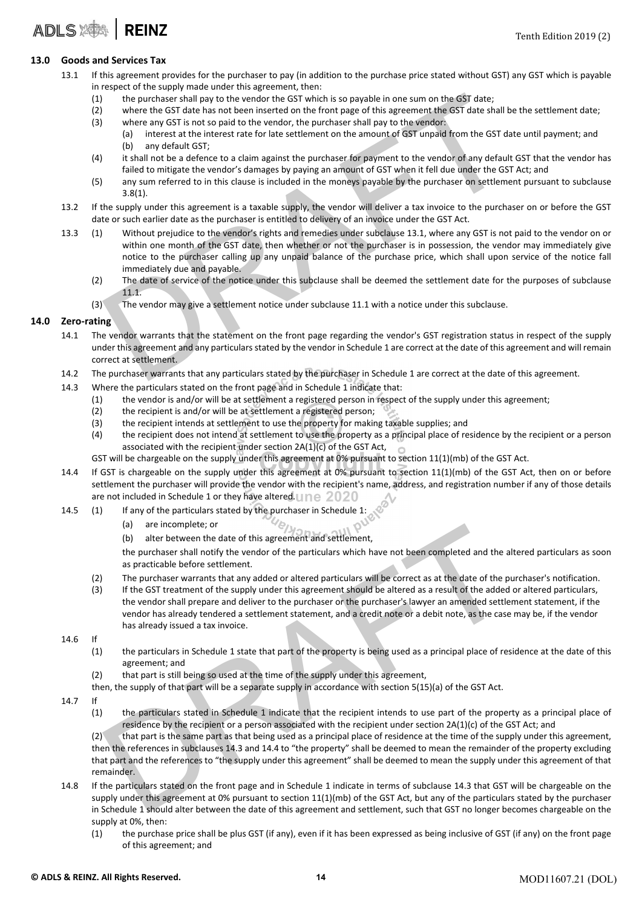#### 13.0 Goods and Services Tax

- 13.1 If this agreement provides for the purchaser to pay (in addition to the purchase price stated without GST) any GST which is payable in respect of the supply made under this agreement, then:
	- (1) the purchaser shall pay to the vendor the GST which is so payable in one sum on the GST date;
	- (2) where the GST date has not been inserted on the front page of this agreement the GST date shall be the settlement date;
	- (3) where any GST is not so paid to the vendor, the purchaser shall pay to the vendor:
		- (a) interest at the interest rate for late settlement on the amount of GST unpaid from the GST date until payment; and (b) any default GST;
	- (4) it shall not be a defence to a claim against the purchaser for payment to the vendor of any default GST that the vendor has failed to mitigate the vendor's damages by paying an amount of GST when it fell due under the GST Act; and
	- (5) any sum referred to in this clause is included in the moneys payable by the purchaser on settlement pursuant to subclause 3.8(1).
- 13.2 If the supply under this agreement is a taxable supply, the vendor will deliver a tax invoice to the purchaser on or before the GST date or such earlier date as the purchaser is entitled to delivery of an invoice under the GST Act.
- the purchaser shall pay to the vendor the GST which is so payable in one sum on the GST date;<br>where the GST date has not been inserted on the front page of this agreement the GST date<br>where any GST is not so paid to the ve 13.3 (1) Without prejudice to the vendor's rights and remedies under subclause 13.1, where any GST is not paid to the vendor on or within one month of the GST date, then whether or not the purchaser is in possession, the vendor may immediately give notice to the purchaser calling up any unpaid balance of the purchase price, which shall upon service of the notice fall immediately due and payable.
	- (2) The date of service of the notice under this subclause shall be deemed the settlement date for the purposes of subclause 11.1.
	- (3) The vendor may give a settlement notice under subclause 11.1 with a notice under this subclause.

#### 14.0 Zero-rating

- 14.1 The vendor warrants that the statement on the front page regarding the vendor's GST registration status in respect of the supply under this agreement and any particulars stated by the vendor in Schedule 1 are correct at the date of this agreement and will remain correct at settlement.
- 14.2 The purchaser warrants that any particulars stated by the purchaser in Schedule 1 are correct at the date of this agreement.
- 14.3 Where the particulars stated on the front page and in Schedule 1 indicate that:
	- (1) the vendor is and/or will be at settlement a registered person in respect of the supply under this agreement;
	- (2) the recipient is and/or will be at settlement a registered person;
	- (3) the recipient intends at settlement to use the property for making taxable supplies; and
	- (4) the recipient does not intend at settlement to use the property as a principal place of residence by the recipient or a person associated with the recipient under section 2A(1)(c) of the GST Act,
	- GST will be chargeable on the supply under this agreement at 0% pursuant to section 11(1)(mb) of the GST Act.
- 14.4 If GST is chargeable on the supply under this agreement at 0% pursuant to section 11(1)(mb) of the GST Act, then on or before settlement the purchaser will provide the vendor with the recipient's name, address, and registration number if any of those details are not included in Schedule 1 or they have altered. Une  $2020$
- 14.5 (1) If any of the particulars stated by the purchaser in Schedule 1:
	- (a) are incomplete; or
	- (b) alter between the date of this agreement and settlement,

the purchaser shall notify the vendor of the particulars which have not been completed and the altered particulars as soon as practicable before settlement.

- (2) The purchaser warrants that any added or altered particulars will be correct as at the date of the purchaser's notification.
- (3) If the GST treatment of the supply under this agreement should be altered as a result of the added or altered particulars, the vendor shall prepare and deliver to the purchaser or the purchaser's lawyer an amended settlement statement, if the vendor has already tendered a settlement statement, and a credit note or a debit note, as the case may be, if the vendor has already issued a tax invoice.
- 14.6 If
	- (1) the particulars in Schedule 1 state that part of the property is being used as a principal place of residence at the date of this agreement; and
	- (2) that part is still being so used at the time of the supply under this agreement,
	- then, the supply of that part will be a separate supply in accordance with section 5(15)(a) of the GST Act.
- 14.7 If
	- (1) the particulars stated in Schedule 1 indicate that the recipient intends to use part of the property as a principal place of residence by the recipient or a person associated with the recipient under section 2A(1)(c) of the GST Act; and

(a)<br>
(a) alter between the date of this agreement and settlement,<br>
(b) alter between the date of this agreement and settlement,<br>
The purchaser shall notify the vendor of the particulars which have not been completed and th (2) that part is the same part as that being used as a principal place of residence at the time of the supply under this agreement, then the references in subclauses 14.3 and 14.4 to "the property" shall be deemed to mean the remainder of the property excluding that part and the references to "the supply under this agreement" shall be deemed to mean the supply under this agreement of that remainder.

- 14.8 If the particulars stated on the front page and in Schedule 1 indicate in terms of subclause 14.3 that GST will be chargeable on the supply under this agreement at 0% pursuant to section 11(1)(mb) of the GST Act, but any of the particulars stated by the purchaser in Schedule 1 should alter between the date of this agreement and settlement, such that GST no longer becomes chargeable on the supply at 0%, then:
	- (1) the purchase price shall be plus GST (if any), even if it has been expressed as being inclusive of GST (if any) on the front page of this agreement; and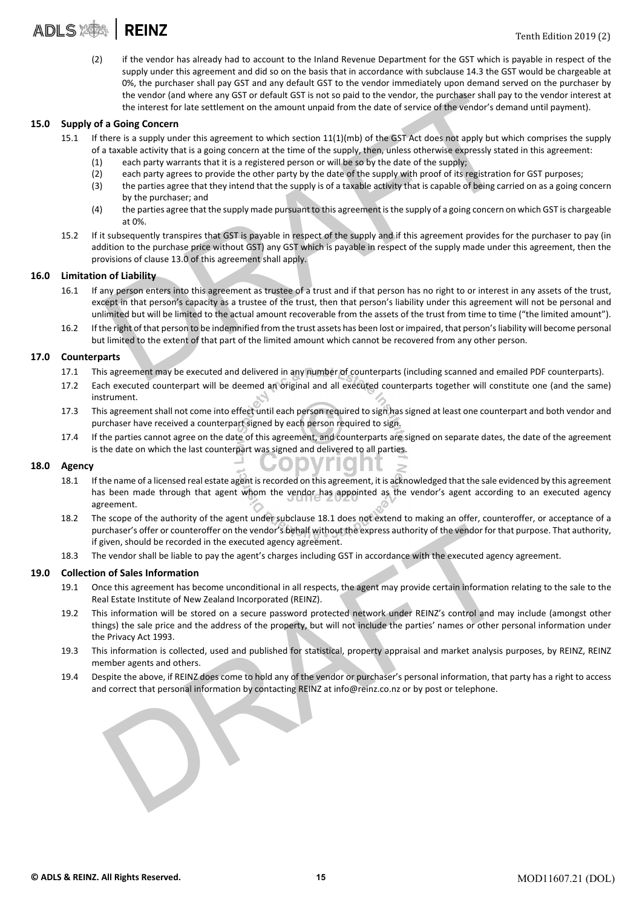

(2) if the vendor has already had to account to the Inland Revenue Department for the GST which is payable in respect of the supply under this agreement and did so on the basis that in accordance with subclause 14.3 the GST would be chargeable at 0%, the purchaser shall pay GST and any default GST to the vendor immediately upon demand served on the purchaser by the vendor (and where any GST or default GST is not so paid to the vendor, the purchaser shall pay to the vendor interest at the interest for late settlement on the amount unpaid from the date of service of the vendor's demand until payment).

#### 15.0 Supply of a Going Concern

- 15.1 If there is a supply under this agreement to which section 11(1)(mb) of the GST Act does not apply but which comprises the supply of a taxable activity that is a going concern at the time of the supply, then, unless otherwise expressly stated in this agreement:
	- (1) each party warrants that it is a registered person or will be so by the date of the supply;
	- (2) each party agrees to provide the other party by the date of the supply with proof of its registration for GST purposes;
	- (3) the parties agree that they intend that the supply is of a taxable activity that is capable of being carried on as a going concern by the purchaser; and
	- (4) the parties agree that the supply made pursuant to this agreement isthe supply of a going concern on which GST is chargeable at 0%.
- 15.2 If it subsequently transpires that GST is payable in respect of the supply and if this agreement provides for the purchaser to pay (in addition to the purchase price without GST) any GST which is payable in respect of the supply made under this agreement, then the provisions of clause 13.0 of this agreement shall apply.

#### 16.0 Limitation of Liability

- the wendor (and where any GST or default GST is not so paid to the vendor, the purchager shall pay to<br>
the interest for late settlement on the amount unpaid from the date of service of the vendor's deman<br> **Ea Going Concern** 16.1 If any person enters into this agreement as trustee of a trust and if that person has no right to or interest in any assets of the trust, except in that person's capacity as a trustee of the trust, then that person's liability under this agreement will not be personal and unlimited but will be limited to the actual amount recoverable from the assets of the trust from time to time ("the limited amount").
- 16.2 If the right of that person to be indemnified from the trust assets has been lost orimpaired, that person'sliability will become personal but limited to the extent of that part of the limited amount which cannot be recovered from any other person.

#### 17.0 Counterparts

- 17.1 This agreement may be executed and delivered in any number of counterparts (including scanned and emailed PDF counterparts).
- 17.2 Each executed counterpart will be deemed an original and all executed counterparts together will constitute one (and the same) instrument.
- 17.3 This agreement shall not come into effect until each person required to sign has signed at least one counterpart and both vendor and purchaser have received a counterpart signed by each person required to sign.
- 17.4 If the parties cannot agree on the date of this agreement, and counterparts are signed on separate dates, the date of the agreement is the date on which the last counterpart was signed and delivered to all parties.

#### 18.0 Agency

- 18.1 If the name of a licensed real estate agent is recorded on this agreement, it is acknowledged that the sale evidenced by this agreement has been made through that agent whom the vendor has appointed as the vendor's agent according to an executed agency agreement.
- 18.2 The scope of the authority of the agent under subclause 18.1 does not extend to making an offer, counteroffer, or acceptance of a purchaser's offer or counteroffer on the vendor's behalf without the express authority of the vendor for that purpose. That authority, if given, should be recorded in the executed agency agreement.
- 18.3 The vendor shall be liable to pay the agent's charges including GST in accordance with the executed agency agreement.

#### 19.0 Collection of Sales Information

- 19.1 Once this agreement has become unconditional in all respects, the agent may provide certain information relating to the sale to the Real Estate Institute of New Zealand Incorporated (REINZ).
- rchaser's offer or counteroffer on the vendor's behalf without the express authority of the vendor for that piven, should be recorded in the executed agency agreement.<br>Even, should be recorded in the executed agency agreem 19.2 This information will be stored on a secure password protected network under REINZ's control and may include (amongst other things) the sale price and the address of the property, but will not include the parties' names or other personal information under the Privacy Act 1993.
- 19.3 This information is collected, used and published for statistical, property appraisal and market analysis purposes, by REINZ, REINZ member agents and others.
- 19.4 Despite the above, if REINZ does come to hold any of the vendor or purchaser's personal information, that party has a right to access and correct that personal information by contacting REINZ at info@reinz.co.nz or by post or telephone.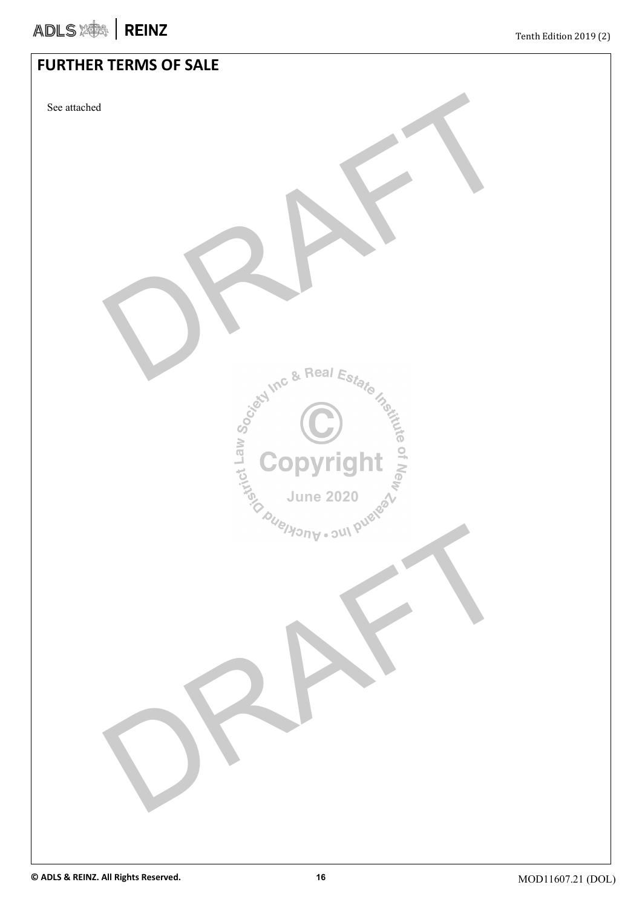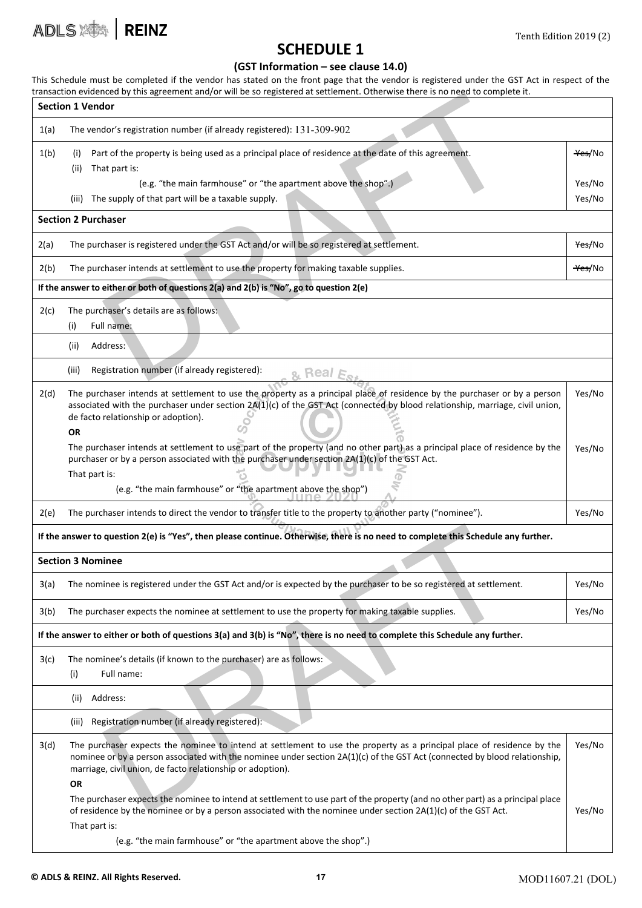![](_page_16_Picture_0.jpeg)

### SCHEDULE 1

#### (GST Information – see clause 14.0)

This Schedule must be completed if the vendor has stated on the front page that the vendor is registered under the GST Act in respect of the transaction evidenced by this agreement and/or will be so registered at settlement. Otherwise there is no need to complete it. Section 1 Vendor 1(a) The vendor's registration number (if already registered): 131-309-902 1(b) (i) (ii) (iii) Part of the property is being used as a principal place of residence at the date of this agreement. That part is: (e.g. "the main farmhouse" or "the apartment above the shop".) The supply of that part will be a taxable supply. Yes/No Yes/No Yes/No

#### Section 2 Purchaser

|      | transaction evidenced by this agreement and/or will be so registered at settlement. Otherwise there is no need to complete it.                                                                                                                            |                    |  |
|------|-----------------------------------------------------------------------------------------------------------------------------------------------------------------------------------------------------------------------------------------------------------|--------------------|--|
|      | <b>Section 1 Vendor</b>                                                                                                                                                                                                                                   |                    |  |
| 1(a) | The vendor's registration number (if already registered): 131-309-902                                                                                                                                                                                     |                    |  |
| 1(b) | Part of the property is being used as a principal place of residence at the date of this agreement.<br>(i)                                                                                                                                                | <del>Yes</del> /No |  |
|      | That part is:<br>(ii)                                                                                                                                                                                                                                     |                    |  |
|      | (e.g. "the main farmhouse" or "the apartment above the shop".)                                                                                                                                                                                            | Yes/No             |  |
|      | The supply of that part will be a taxable supply.<br>(iii)                                                                                                                                                                                                | Yes/No             |  |
|      | <b>Section 2 Purchaser</b>                                                                                                                                                                                                                                |                    |  |
| 2(a) | The purchaser is registered under the GST Act and/or will be so registered at settlement.                                                                                                                                                                 | <del>Yes/</del> No |  |
| 2(b) | The purchaser intends at settlement to use the property for making taxable supplies.<br><del>Yes/</del> No                                                                                                                                                |                    |  |
|      | If the answer to either or both of questions 2(a) and 2(b) is "No", go to question 2(e)                                                                                                                                                                   |                    |  |
| 2(c) | The purchaser's details are as follows:                                                                                                                                                                                                                   |                    |  |
|      | Full name:<br>(i)                                                                                                                                                                                                                                         |                    |  |
|      | (ii)<br>Address:                                                                                                                                                                                                                                          |                    |  |
|      | Registration number (if already registered):<br>(iii)<br>Real                                                                                                                                                                                             |                    |  |
| 2(d) | The purchaser intends at settlement to use the property as a principal place of residence by the purchaser or by a person<br>associated with the purchaser under section 2A(1)(c) of the GST Act (connected by blood relationship, marriage, civil union, | Yes/No             |  |

| de facto relationship or adoption).                                                                                          |  |  |        |
|------------------------------------------------------------------------------------------------------------------------------|--|--|--------|
| ΟR                                                                                                                           |  |  |        |
| The purchaser intends at settlement to use part of the property (and no other part) as a principal place of residence by the |  |  | Yes/No |
| purchaser or by a person associated with the purchaser under section $2A(1)(c)$ of the GST Act.                              |  |  |        |

π (e.g. "the main farmhouse" or "the apartment above the shop")

| 2(e) The purchaser intends to direct the vendor to transfer title to the property to another party ("nominee"). | Yes/No |
|-----------------------------------------------------------------------------------------------------------------|--------|
|                                                                                                                 |        |

#### If the answer to question 2(e) is "Yes", then please continue. Otherwise, there is no need to complete this Schedule any further.

#### Section 3 Nominee

That part is:

| 3(a) | The nominee is registered under the GST Act and/or is expected by the purchaser to be so registered at settlement. | Yes/Nc |
|------|--------------------------------------------------------------------------------------------------------------------|--------|
|      |                                                                                                                    |        |

3(b) The purchaser expects the nominee at settlement to use the property for making taxable supplies.

#### If the answer to either or both of questions 3(a) and 3(b) is "No", there is no need to complete this Schedule any further.

3(c) The nominee's details (if known to the purchaser) are as follows:

(i) Full name:

(ii) Address:

(iii) Registration number (if already registered):

question 2(e) is "Yes", then please continue. Otherwise, there is no need to complete this Schedule any time<br>time<br>time<br>time is registered under the GST Act and/or is expected by the purchaser to be so registered at settlem 3(d) The purchaser expects the nominee to intend at settlement to use the property as a principal place of residence by the nominee or by a person associated with the nominee under section 2A(1)(c) of the GST Act (connected by blood relationship, marriage, civil union, de facto relationship or adoption). Yes/No

OR

The purchaser expects the nominee to intend atsettlement to use part of the property (and no other part) as a principal place of residence by the nominee or by a person associated with the nominee under section 2A(1)(c) of the GST Act. That part is: Yes/No

(e.g. "the main farmhouse" or "the apartment above the shop".)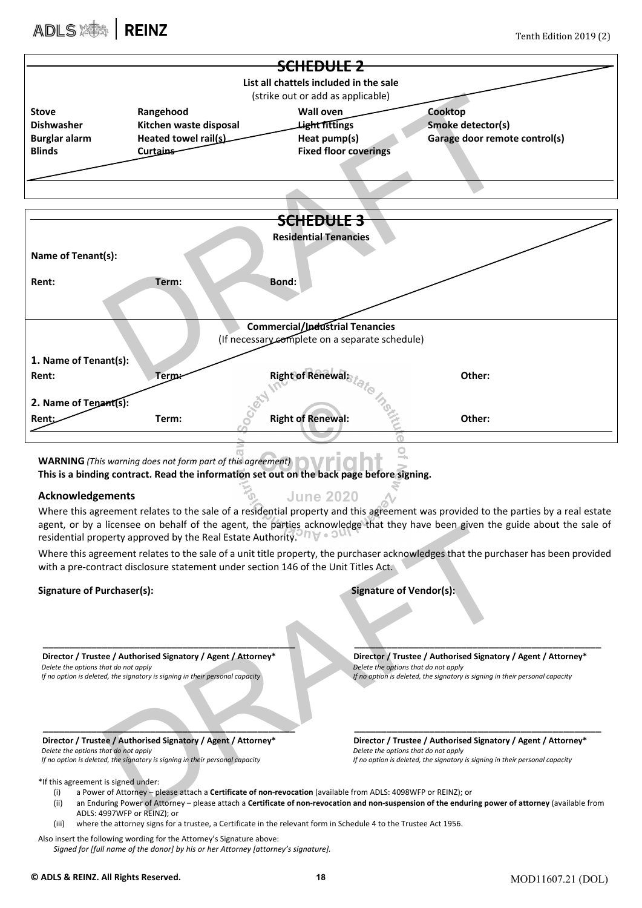# ADLS SAN REINZ Tenth Edition 2019 (2)

| <del>SCHEDULE 2</del>                                                                                                                                                                                                                                                                       |                                                                                                                                                             |                                                                                          |                                      |                                                                                                                                    |  |  |
|---------------------------------------------------------------------------------------------------------------------------------------------------------------------------------------------------------------------------------------------------------------------------------------------|-------------------------------------------------------------------------------------------------------------------------------------------------------------|------------------------------------------------------------------------------------------|--------------------------------------|------------------------------------------------------------------------------------------------------------------------------------|--|--|
| List all chattels included in the sale                                                                                                                                                                                                                                                      |                                                                                                                                                             |                                                                                          |                                      |                                                                                                                                    |  |  |
| (strike out or add as applicable)                                                                                                                                                                                                                                                           |                                                                                                                                                             |                                                                                          |                                      |                                                                                                                                    |  |  |
| Stove                                                                                                                                                                                                                                                                                       | Rangehood                                                                                                                                                   | <b>Wall oven</b>                                                                         |                                      | Cooktop                                                                                                                            |  |  |
| <b>Dishwasher</b>                                                                                                                                                                                                                                                                           | Kitchen waste disposal                                                                                                                                      | Light fittings                                                                           |                                      | Smoke detector(s)                                                                                                                  |  |  |
| <b>Burglar alarm</b>                                                                                                                                                                                                                                                                        | Heated towel rail(s)                                                                                                                                        | Heat pump(s)                                                                             |                                      | Garage door remote control(s)                                                                                                      |  |  |
| <b>Blinds</b>                                                                                                                                                                                                                                                                               | Curtains                                                                                                                                                    | <b>Fixed floor coverings</b>                                                             |                                      |                                                                                                                                    |  |  |
|                                                                                                                                                                                                                                                                                             |                                                                                                                                                             |                                                                                          |                                      |                                                                                                                                    |  |  |
|                                                                                                                                                                                                                                                                                             |                                                                                                                                                             |                                                                                          |                                      |                                                                                                                                    |  |  |
|                                                                                                                                                                                                                                                                                             |                                                                                                                                                             |                                                                                          |                                      |                                                                                                                                    |  |  |
|                                                                                                                                                                                                                                                                                             |                                                                                                                                                             | <del>SCHEDULE 3</del>                                                                    |                                      |                                                                                                                                    |  |  |
|                                                                                                                                                                                                                                                                                             |                                                                                                                                                             | <b>Residential Tenancies</b>                                                             |                                      |                                                                                                                                    |  |  |
| Name of Tenant(s):                                                                                                                                                                                                                                                                          |                                                                                                                                                             |                                                                                          |                                      |                                                                                                                                    |  |  |
|                                                                                                                                                                                                                                                                                             |                                                                                                                                                             |                                                                                          |                                      |                                                                                                                                    |  |  |
| Rent:                                                                                                                                                                                                                                                                                       | Term:                                                                                                                                                       | <b>Bond:</b>                                                                             |                                      |                                                                                                                                    |  |  |
|                                                                                                                                                                                                                                                                                             |                                                                                                                                                             |                                                                                          |                                      |                                                                                                                                    |  |  |
|                                                                                                                                                                                                                                                                                             |                                                                                                                                                             |                                                                                          |                                      |                                                                                                                                    |  |  |
|                                                                                                                                                                                                                                                                                             |                                                                                                                                                             | <b>Commercial/Industrial Tenancies</b><br>(If necessary complete on a separate schedule) |                                      |                                                                                                                                    |  |  |
|                                                                                                                                                                                                                                                                                             |                                                                                                                                                             |                                                                                          |                                      |                                                                                                                                    |  |  |
| 1. Name of Tenant(s):                                                                                                                                                                                                                                                                       |                                                                                                                                                             |                                                                                          |                                      |                                                                                                                                    |  |  |
| Rent:                                                                                                                                                                                                                                                                                       | <b>Terpx</b>                                                                                                                                                | <b>Right of Renewal:</b>                                                                 |                                      | Other:                                                                                                                             |  |  |
| 2. Name of Tepant(s):                                                                                                                                                                                                                                                                       |                                                                                                                                                             |                                                                                          |                                      |                                                                                                                                    |  |  |
| Rent:                                                                                                                                                                                                                                                                                       | Term:                                                                                                                                                       | <b>Right of Renewal:</b>                                                                 |                                      | Other:                                                                                                                             |  |  |
|                                                                                                                                                                                                                                                                                             |                                                                                                                                                             |                                                                                          |                                      |                                                                                                                                    |  |  |
|                                                                                                                                                                                                                                                                                             |                                                                                                                                                             |                                                                                          |                                      |                                                                                                                                    |  |  |
|                                                                                                                                                                                                                                                                                             | <b>WARNING</b> (This warning does not form part of this agreement)                                                                                          |                                                                                          |                                      |                                                                                                                                    |  |  |
|                                                                                                                                                                                                                                                                                             | This is a binding contract. Read the information set out on the back page before signing.                                                                   |                                                                                          |                                      |                                                                                                                                    |  |  |
| <b>Acknowledgements</b>                                                                                                                                                                                                                                                                     |                                                                                                                                                             | <b>June 2020</b>                                                                         |                                      |                                                                                                                                    |  |  |
|                                                                                                                                                                                                                                                                                             |                                                                                                                                                             |                                                                                          |                                      | Where this agreement relates to the sale of a residential property and this agreement was provided to the parties by a real estate |  |  |
|                                                                                                                                                                                                                                                                                             |                                                                                                                                                             |                                                                                          |                                      | agent, or by a licensee on behalf of the agent, the parties acknowledge that they have been given the guide about the sale of      |  |  |
|                                                                                                                                                                                                                                                                                             | residential property approved by the Real Estate Authority. The and                                                                                         |                                                                                          |                                      |                                                                                                                                    |  |  |
|                                                                                                                                                                                                                                                                                             |                                                                                                                                                             |                                                                                          |                                      | Where this agreement relates to the sale of a unit title property, the purchaser acknowledges that the purchaser has been provided |  |  |
|                                                                                                                                                                                                                                                                                             | with a pre-contract disclosure statement under section 146 of the Unit Titles Act.                                                                          |                                                                                          |                                      |                                                                                                                                    |  |  |
| <b>Signature of Purchaser(s):</b>                                                                                                                                                                                                                                                           |                                                                                                                                                             |                                                                                          | <b>Signature of Vendor(s):</b>       |                                                                                                                                    |  |  |
|                                                                                                                                                                                                                                                                                             |                                                                                                                                                             |                                                                                          |                                      |                                                                                                                                    |  |  |
|                                                                                                                                                                                                                                                                                             |                                                                                                                                                             |                                                                                          |                                      |                                                                                                                                    |  |  |
|                                                                                                                                                                                                                                                                                             |                                                                                                                                                             |                                                                                          |                                      |                                                                                                                                    |  |  |
|                                                                                                                                                                                                                                                                                             | Director / Trustee / Authorised Signatory / Agent / Attorney*                                                                                               |                                                                                          |                                      | Director / Trustee / Authorised Signatory / Agent / Attorney*                                                                      |  |  |
| Delete the options that do not apply                                                                                                                                                                                                                                                        |                                                                                                                                                             |                                                                                          | Delete the options that do not apply |                                                                                                                                    |  |  |
| If no option is deleted, the signatory is signing in their personal capacity<br>If no option is deleted, the signatory is signing in their personal capacity                                                                                                                                |                                                                                                                                                             |                                                                                          |                                      |                                                                                                                                    |  |  |
|                                                                                                                                                                                                                                                                                             |                                                                                                                                                             |                                                                                          |                                      |                                                                                                                                    |  |  |
|                                                                                                                                                                                                                                                                                             |                                                                                                                                                             |                                                                                          |                                      |                                                                                                                                    |  |  |
|                                                                                                                                                                                                                                                                                             | Director / Trustee / Authorised Signatory / Agent / Attorney*                                                                                               |                                                                                          |                                      | Director / Trustee / Authorised Signatory / Agent / Attorney*                                                                      |  |  |
| Delete the options that do not apply<br>Delete the options that do not apply                                                                                                                                                                                                                |                                                                                                                                                             |                                                                                          |                                      |                                                                                                                                    |  |  |
| If no option is deleted, the signatory is signing in their personal capacity<br>If no option is deleted, the signatory is signing in their personal capacity                                                                                                                                |                                                                                                                                                             |                                                                                          |                                      |                                                                                                                                    |  |  |
| *If this agreement is signed under:                                                                                                                                                                                                                                                         |                                                                                                                                                             |                                                                                          |                                      |                                                                                                                                    |  |  |
| a Power of Attorney – please attach a <b>Certificate of non-revocation</b> (available from ADLS: 4098WFP or REINZ); or<br>(i)<br>an Enduring Power of Attorney – please attach a Certificate of non-revocation and non-suspension of the enduring power of attorney (available from<br>(ii) |                                                                                                                                                             |                                                                                          |                                      |                                                                                                                                    |  |  |
| ADLS: 4997WFP or REINZ); or                                                                                                                                                                                                                                                                 |                                                                                                                                                             |                                                                                          |                                      |                                                                                                                                    |  |  |
| where the attorney signs for a trustee, a Certificate in the relevant form in Schedule 4 to the Trustee Act 1956.<br>(iii)                                                                                                                                                                  |                                                                                                                                                             |                                                                                          |                                      |                                                                                                                                    |  |  |
|                                                                                                                                                                                                                                                                                             | Also insert the following wording for the Attorney's Signature above:<br>Signed for [full name of the donor] by his or her Attorney [attorney's signature]. |                                                                                          |                                      |                                                                                                                                    |  |  |
|                                                                                                                                                                                                                                                                                             |                                                                                                                                                             |                                                                                          |                                      |                                                                                                                                    |  |  |